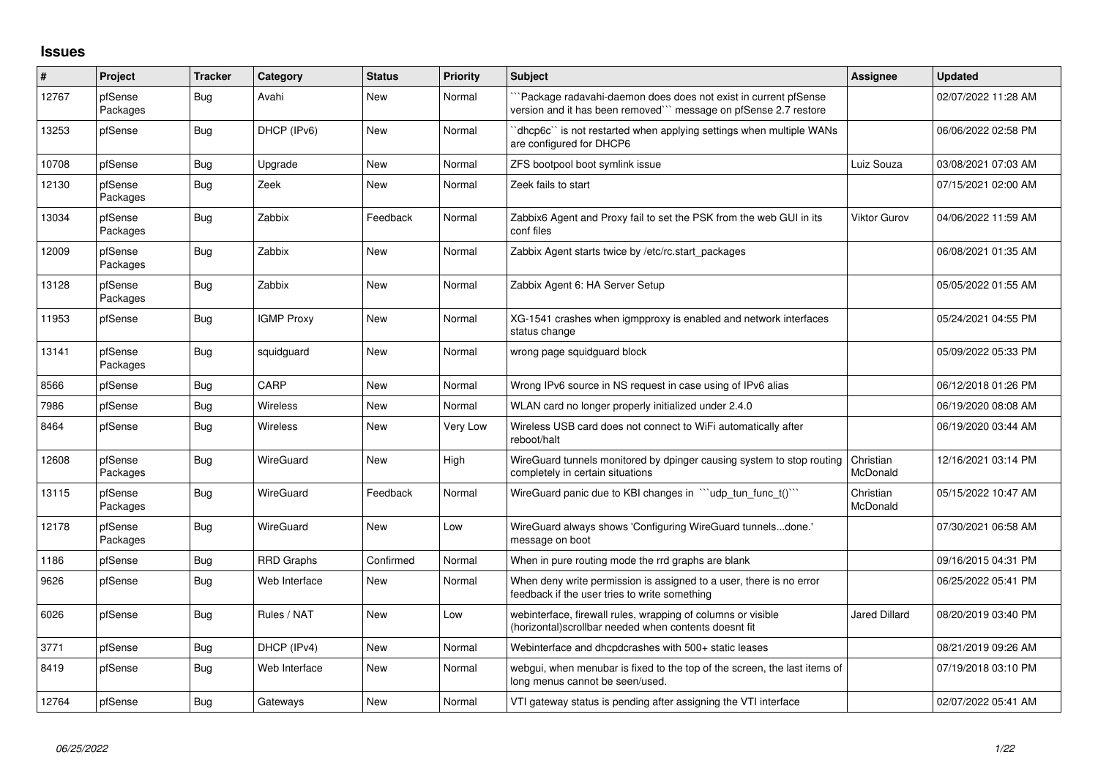## **Issues**

| $\vert$ # | Project             | Tracker    | Category          | <b>Status</b> | <b>Priority</b> | <b>Subject</b>                                                                                                                       | Assignee              | <b>Updated</b>      |
|-----------|---------------------|------------|-------------------|---------------|-----------------|--------------------------------------------------------------------------------------------------------------------------------------|-----------------------|---------------------|
| 12767     | pfSense<br>Packages | <b>Bug</b> | Avahi             | <b>New</b>    | Normal          | `Package radavahi-daemon does does not exist in current pfSense<br>version and it has been removed``` message on pfSense 2.7 restore |                       | 02/07/2022 11:28 AM |
| 13253     | pfSense             | Bug        | DHCP (IPv6)       | <b>New</b>    | Normal          | dhcp6c" is not restarted when applying settings when multiple WANs<br>are configured for DHCP6                                       |                       | 06/06/2022 02:58 PM |
| 10708     | pfSense             | Bug        | Upgrade           | <b>New</b>    | Normal          | ZFS bootpool boot symlink issue                                                                                                      | Luiz Souza            | 03/08/2021 07:03 AM |
| 12130     | pfSense<br>Packages | Bug        | Zeek              | New           | Normal          | Zeek fails to start                                                                                                                  |                       | 07/15/2021 02:00 AM |
| 13034     | pfSense<br>Packages | <b>Bug</b> | Zabbix            | Feedback      | Normal          | Zabbix6 Agent and Proxy fail to set the PSK from the web GUI in its<br>conf files                                                    | Viktor Gurov          | 04/06/2022 11:59 AM |
| 12009     | pfSense<br>Packages | <b>Bug</b> | Zabbix            | New           | Normal          | Zabbix Agent starts twice by /etc/rc.start_packages                                                                                  |                       | 06/08/2021 01:35 AM |
| 13128     | pfSense<br>Packages | <b>Bug</b> | Zabbix            | New           | Normal          | Zabbix Agent 6: HA Server Setup                                                                                                      |                       | 05/05/2022 01:55 AM |
| 11953     | pfSense             | Bug        | <b>IGMP Proxy</b> | <b>New</b>    | Normal          | XG-1541 crashes when igmpproxy is enabled and network interfaces<br>status change                                                    |                       | 05/24/2021 04:55 PM |
| 13141     | pfSense<br>Packages | Bug        | squidguard        | <b>New</b>    | Normal          | wrong page squidguard block                                                                                                          |                       | 05/09/2022 05:33 PM |
| 8566      | pfSense             | Bug        | CARP              | <b>New</b>    | Normal          | Wrong IPv6 source in NS request in case using of IPv6 alias                                                                          |                       | 06/12/2018 01:26 PM |
| 7986      | pfSense             | <b>Bug</b> | Wireless          | <b>New</b>    | Normal          | WLAN card no longer properly initialized under 2.4.0                                                                                 |                       | 06/19/2020 08:08 AM |
| 8464      | pfSense             | <b>Bug</b> | Wireless          | New           | Very Low        | Wireless USB card does not connect to WiFi automatically after<br>reboot/halt                                                        |                       | 06/19/2020 03:44 AM |
| 12608     | pfSense<br>Packages | Bug        | WireGuard         | <b>New</b>    | High            | WireGuard tunnels monitored by dpinger causing system to stop routing<br>completely in certain situations                            | Christian<br>McDonald | 12/16/2021 03:14 PM |
| 13115     | pfSense<br>Packages | Bug        | WireGuard         | Feedback      | Normal          | WireGuard panic due to KBI changes in "'udp_tun_func_t()'"                                                                           | Christian<br>McDonald | 05/15/2022 10:47 AM |
| 12178     | pfSense<br>Packages | <b>Bug</b> | WireGuard         | New           | Low             | WireGuard always shows 'Configuring WireGuard tunnelsdone.'<br>message on boot                                                       |                       | 07/30/2021 06:58 AM |
| 1186      | pfSense             | <b>Bug</b> | <b>RRD Graphs</b> | Confirmed     | Normal          | When in pure routing mode the rrd graphs are blank                                                                                   |                       | 09/16/2015 04:31 PM |
| 9626      | pfSense             | Bug        | Web Interface     | New           | Normal          | When deny write permission is assigned to a user, there is no error<br>feedback if the user tries to write something                 |                       | 06/25/2022 05:41 PM |
| 6026      | pfSense             | <b>Bug</b> | Rules / NAT       | <b>New</b>    | Low             | webinterface, firewall rules, wrapping of columns or visible<br>(horizontal)scrollbar needed when contents doesnt fit                | <b>Jared Dillard</b>  | 08/20/2019 03:40 PM |
| 3771      | pfSense             | Bug        | DHCP (IPv4)       | <b>New</b>    | Normal          | Webinterface and dhcpdcrashes with 500+ static leases                                                                                |                       | 08/21/2019 09:26 AM |
| 8419      | pfSense             | Bug        | Web Interface     | New           | Normal          | webgui, when menubar is fixed to the top of the screen, the last items of<br>long menus cannot be seen/used.                         |                       | 07/19/2018 03:10 PM |
| 12764     | pfSense             | Bug        | Gateways          | <b>New</b>    | Normal          | VTI gateway status is pending after assigning the VTI interface                                                                      |                       | 02/07/2022 05:41 AM |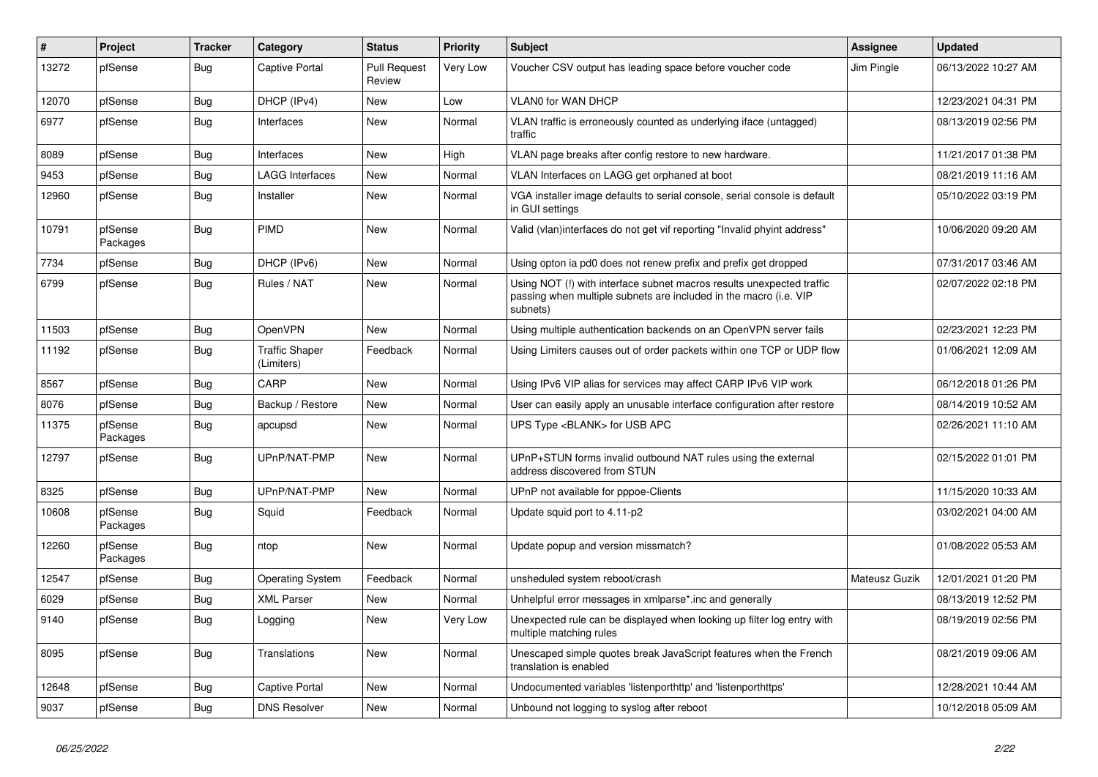| $\vert$ # | Project             | <b>Tracker</b> | Category                            | <b>Status</b>                 | <b>Priority</b> | <b>Subject</b>                                                                                                                                         | <b>Assignee</b> | <b>Updated</b>      |
|-----------|---------------------|----------------|-------------------------------------|-------------------------------|-----------------|--------------------------------------------------------------------------------------------------------------------------------------------------------|-----------------|---------------------|
| 13272     | pfSense             | <b>Bug</b>     | <b>Captive Portal</b>               | <b>Pull Request</b><br>Review | Very Low        | Voucher CSV output has leading space before voucher code                                                                                               | Jim Pingle      | 06/13/2022 10:27 AM |
| 12070     | pfSense             | <b>Bug</b>     | DHCP (IPv4)                         | <b>New</b>                    | Low             | <b>VLAN0 for WAN DHCP</b>                                                                                                                              |                 | 12/23/2021 04:31 PM |
| 6977      | pfSense             | Bug            | Interfaces                          | New                           | Normal          | VLAN traffic is erroneously counted as underlying iface (untagged)<br>traffic                                                                          |                 | 08/13/2019 02:56 PM |
| 8089      | pfSense             | <b>Bug</b>     | Interfaces                          | <b>New</b>                    | High            | VLAN page breaks after config restore to new hardware.                                                                                                 |                 | 11/21/2017 01:38 PM |
| 9453      | pfSense             | <b>Bug</b>     | <b>LAGG Interfaces</b>              | <b>New</b>                    | Normal          | VLAN Interfaces on LAGG get orphaned at boot                                                                                                           |                 | 08/21/2019 11:16 AM |
| 12960     | pfSense             | <b>Bug</b>     | Installer                           | New                           | Normal          | VGA installer image defaults to serial console, serial console is default<br>in GUI settings                                                           |                 | 05/10/2022 03:19 PM |
| 10791     | pfSense<br>Packages | Bug            | <b>PIMD</b>                         | <b>New</b>                    | Normal          | Valid (vlan)interfaces do not get vif reporting "Invalid phyint address"                                                                               |                 | 10/06/2020 09:20 AM |
| 7734      | pfSense             | <b>Bug</b>     | DHCP (IPv6)                         | New                           | Normal          | Using opton ia pd0 does not renew prefix and prefix get dropped                                                                                        |                 | 07/31/2017 03:46 AM |
| 6799      | pfSense             | Bug            | Rules / NAT                         | New                           | Normal          | Using NOT (!) with interface subnet macros results unexpected traffic<br>passing when multiple subnets are included in the macro (i.e. VIP<br>subnets) |                 | 02/07/2022 02:18 PM |
| 11503     | pfSense             | <b>Bug</b>     | OpenVPN                             | <b>New</b>                    | Normal          | Using multiple authentication backends on an OpenVPN server fails                                                                                      |                 | 02/23/2021 12:23 PM |
| 11192     | pfSense             | <b>Bug</b>     | <b>Traffic Shaper</b><br>(Limiters) | Feedback                      | Normal          | Using Limiters causes out of order packets within one TCP or UDP flow                                                                                  |                 | 01/06/2021 12:09 AM |
| 8567      | pfSense             | <b>Bug</b>     | CARP                                | New                           | Normal          | Using IPv6 VIP alias for services may affect CARP IPv6 VIP work                                                                                        |                 | 06/12/2018 01:26 PM |
| 8076      | pfSense             | <b>Bug</b>     | Backup / Restore                    | New                           | Normal          | User can easily apply an unusable interface configuration after restore                                                                                |                 | 08/14/2019 10:52 AM |
| 11375     | pfSense<br>Packages | <b>Bug</b>     | apcupsd                             | New                           | Normal          | UPS Type <blank> for USB APC</blank>                                                                                                                   |                 | 02/26/2021 11:10 AM |
| 12797     | pfSense             | Bug            | UPnP/NAT-PMP                        | <b>New</b>                    | Normal          | UPnP+STUN forms invalid outbound NAT rules using the external<br>address discovered from STUN                                                          |                 | 02/15/2022 01:01 PM |
| 8325      | pfSense             | Bug            | UPnP/NAT-PMP                        | New                           | Normal          | UPnP not available for pppoe-Clients                                                                                                                   |                 | 11/15/2020 10:33 AM |
| 10608     | pfSense<br>Packages | <b>Bug</b>     | Squid                               | Feedback                      | Normal          | Update squid port to 4.11-p2                                                                                                                           |                 | 03/02/2021 04:00 AM |
| 12260     | pfSense<br>Packages | <b>Bug</b>     | ntop                                | <b>New</b>                    | Normal          | Update popup and version missmatch?                                                                                                                    |                 | 01/08/2022 05:53 AM |
| 12547     | pfSense             | <b>Bug</b>     | <b>Operating System</b>             | Feedback                      | Normal          | unsheduled system reboot/crash                                                                                                                         | Mateusz Guzik   | 12/01/2021 01:20 PM |
| 6029      | pfSense             | <b>Bug</b>     | <b>XML Parser</b>                   | <b>New</b>                    | Normal          | Unhelpful error messages in xmlparse*.inc and generally                                                                                                |                 | 08/13/2019 12:52 PM |
| 9140      | pfSense             | <b>Bug</b>     | Logging                             | New                           | Very Low        | Unexpected rule can be displayed when looking up filter log entry with<br>multiple matching rules                                                      |                 | 08/19/2019 02:56 PM |
| 8095      | pfSense             | Bug            | Translations                        | New                           | Normal          | Unescaped simple quotes break JavaScript features when the French<br>translation is enabled                                                            |                 | 08/21/2019 09:06 AM |
| 12648     | pfSense             | <b>Bug</b>     | <b>Captive Portal</b>               | New                           | Normal          | Undocumented variables 'listenporthttp' and 'listenporthttps'                                                                                          |                 | 12/28/2021 10:44 AM |
| 9037      | pfSense             | <b>Bug</b>     | <b>DNS Resolver</b>                 | New                           | Normal          | Unbound not logging to syslog after reboot                                                                                                             |                 | 10/12/2018 05:09 AM |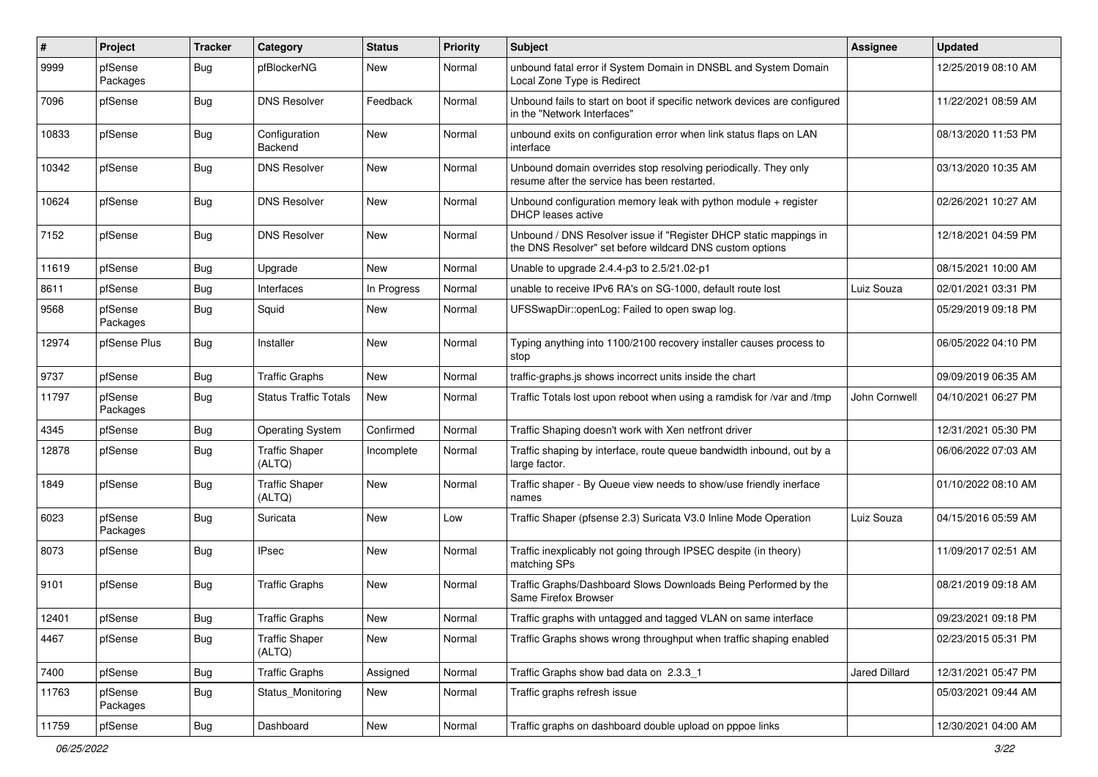| $\pmb{\#}$ | Project             | <b>Tracker</b> | Category                        | <b>Status</b> | <b>Priority</b> | <b>Subject</b>                                                                                                                | Assignee      | <b>Updated</b>      |
|------------|---------------------|----------------|---------------------------------|---------------|-----------------|-------------------------------------------------------------------------------------------------------------------------------|---------------|---------------------|
| 9999       | pfSense<br>Packages | <b>Bug</b>     | pfBlockerNG                     | New           | Normal          | unbound fatal error if System Domain in DNSBL and System Domain<br>Local Zone Type is Redirect                                |               | 12/25/2019 08:10 AM |
| 7096       | pfSense             | <b>Bug</b>     | <b>DNS Resolver</b>             | Feedback      | Normal          | Unbound fails to start on boot if specific network devices are configured<br>in the "Network Interfaces"                      |               | 11/22/2021 08:59 AM |
| 10833      | pfSense             | <b>Bug</b>     | Configuration<br>Backend        | New           | Normal          | unbound exits on configuration error when link status flaps on LAN<br>interface                                               |               | 08/13/2020 11:53 PM |
| 10342      | pfSense             | <b>Bug</b>     | <b>DNS Resolver</b>             | New           | Normal          | Unbound domain overrides stop resolving periodically. They only<br>resume after the service has been restarted.               |               | 03/13/2020 10:35 AM |
| 10624      | pfSense             | <b>Bug</b>     | <b>DNS Resolver</b>             | New           | Normal          | Unbound configuration memory leak with python module $+$ register<br>DHCP leases active                                       |               | 02/26/2021 10:27 AM |
| 7152       | pfSense             | <b>Bug</b>     | <b>DNS Resolver</b>             | New           | Normal          | Unbound / DNS Resolver issue if "Register DHCP static mappings in<br>the DNS Resolver" set before wildcard DNS custom options |               | 12/18/2021 04:59 PM |
| 11619      | pfSense             | <b>Bug</b>     | Upgrade                         | New           | Normal          | Unable to upgrade 2.4.4-p3 to 2.5/21.02-p1                                                                                    |               | 08/15/2021 10:00 AM |
| 8611       | pfSense             | <b>Bug</b>     | Interfaces                      | In Progress   | Normal          | unable to receive IPv6 RA's on SG-1000, default route lost                                                                    | Luiz Souza    | 02/01/2021 03:31 PM |
| 9568       | pfSense<br>Packages | Bug            | Squid                           | New           | Normal          | UFSSwapDir::openLog: Failed to open swap log.                                                                                 |               | 05/29/2019 09:18 PM |
| 12974      | pfSense Plus        | Bug            | Installer                       | New           | Normal          | Typing anything into 1100/2100 recovery installer causes process to<br>stop                                                   |               | 06/05/2022 04:10 PM |
| 9737       | pfSense             | Bug            | <b>Traffic Graphs</b>           | New           | Normal          | traffic-graphs.js shows incorrect units inside the chart                                                                      |               | 09/09/2019 06:35 AM |
| 11797      | pfSense<br>Packages | Bug            | <b>Status Traffic Totals</b>    | New           | Normal          | Traffic Totals lost upon reboot when using a ramdisk for /var and /tmp                                                        | John Cornwell | 04/10/2021 06:27 PM |
| 4345       | pfSense             | Bug            | <b>Operating System</b>         | Confirmed     | Normal          | Traffic Shaping doesn't work with Xen netfront driver                                                                         |               | 12/31/2021 05:30 PM |
| 12878      | pfSense             | Bug            | <b>Traffic Shaper</b><br>(ALTQ) | Incomplete    | Normal          | Traffic shaping by interface, route queue bandwidth inbound, out by a<br>large factor.                                        |               | 06/06/2022 07:03 AM |
| 1849       | pfSense             | Bug            | <b>Traffic Shaper</b><br>(ALTQ) | New           | Normal          | Traffic shaper - By Queue view needs to show/use friendly inerface<br>names                                                   |               | 01/10/2022 08:10 AM |
| 6023       | pfSense<br>Packages | Bug            | Suricata                        | New           | Low             | Traffic Shaper (pfsense 2.3) Suricata V3.0 Inline Mode Operation                                                              | Luiz Souza    | 04/15/2016 05:59 AM |
| 8073       | pfSense             | <b>Bug</b>     | <b>IPsec</b>                    | New           | Normal          | Traffic inexplicably not going through IPSEC despite (in theory)<br>matching SPs                                              |               | 11/09/2017 02:51 AM |
| 9101       | pfSense             | <b>Bug</b>     | <b>Traffic Graphs</b>           | New           | Normal          | Traffic Graphs/Dashboard Slows Downloads Being Performed by the<br>Same Firefox Browser                                       |               | 08/21/2019 09:18 AM |
| 12401      | pfSense             | Bug            | Traffic Graphs                  | New           | Normal          | Traffic graphs with untagged and tagged VLAN on same interface                                                                |               | 09/23/2021 09:18 PM |
| 4467       | pfSense             | <b>Bug</b>     | <b>Traffic Shaper</b><br>(ALTQ) | New           | Normal          | Traffic Graphs shows wrong throughput when traffic shaping enabled                                                            |               | 02/23/2015 05:31 PM |
| 7400       | pfSense             | Bug            | <b>Traffic Graphs</b>           | Assigned      | Normal          | Traffic Graphs show bad data on 2.3.3 1                                                                                       | Jared Dillard | 12/31/2021 05:47 PM |
| 11763      | pfSense<br>Packages | <b>Bug</b>     | Status_Monitoring               | New           | Normal          | Traffic graphs refresh issue                                                                                                  |               | 05/03/2021 09:44 AM |
| 11759      | pfSense             | <b>Bug</b>     | Dashboard                       | New           | Normal          | Traffic graphs on dashboard double upload on pppoe links                                                                      |               | 12/30/2021 04:00 AM |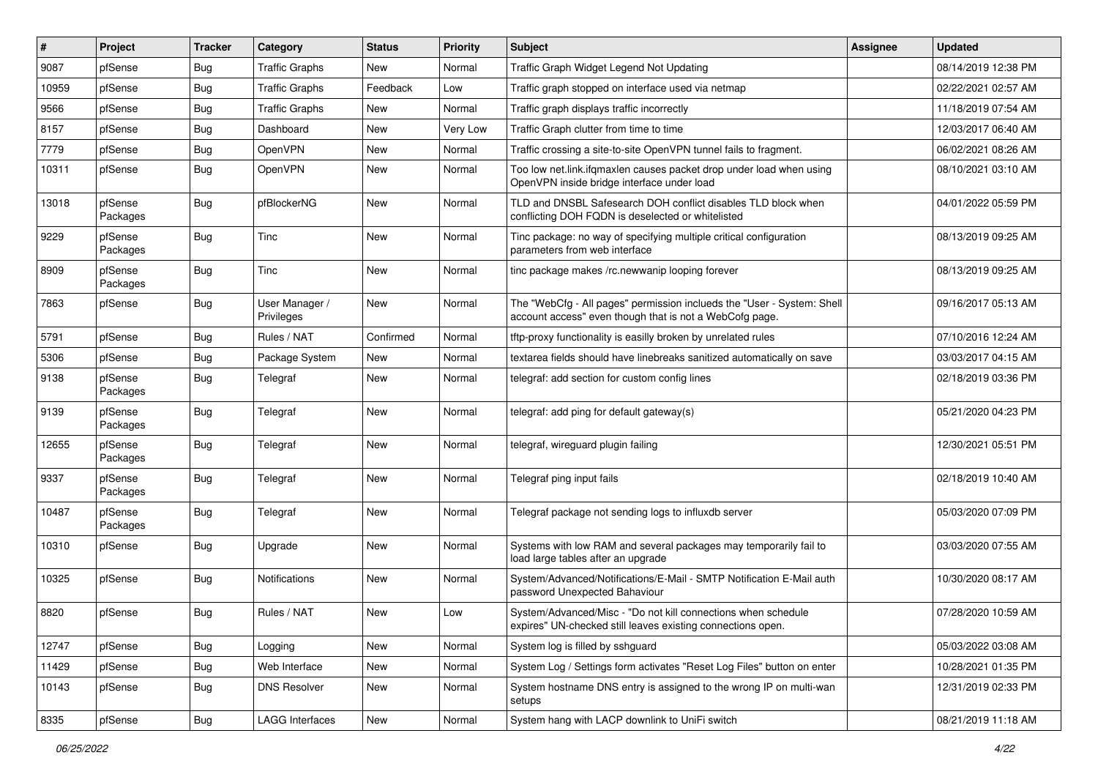| $\sharp$ | Project             | <b>Tracker</b> | Category                     | <b>Status</b> | <b>Priority</b> | <b>Subject</b>                                                                                                                    | <b>Assignee</b> | <b>Updated</b>      |
|----------|---------------------|----------------|------------------------------|---------------|-----------------|-----------------------------------------------------------------------------------------------------------------------------------|-----------------|---------------------|
| 9087     | pfSense             | <b>Bug</b>     | <b>Traffic Graphs</b>        | New           | Normal          | Traffic Graph Widget Legend Not Updating                                                                                          |                 | 08/14/2019 12:38 PM |
| 10959    | pfSense             | Bug            | <b>Traffic Graphs</b>        | Feedback      | Low             | Traffic graph stopped on interface used via netmap                                                                                |                 | 02/22/2021 02:57 AM |
| 9566     | pfSense             | <b>Bug</b>     | <b>Traffic Graphs</b>        | New           | Normal          | Traffic graph displays traffic incorrectly                                                                                        |                 | 11/18/2019 07:54 AM |
| 8157     | pfSense             | <b>Bug</b>     | Dashboard                    | New           | Very Low        | Traffic Graph clutter from time to time                                                                                           |                 | 12/03/2017 06:40 AM |
| 7779     | pfSense             | <b>Bug</b>     | OpenVPN                      | New           | Normal          | Traffic crossing a site-to-site OpenVPN tunnel fails to fragment.                                                                 |                 | 06/02/2021 08:26 AM |
| 10311    | pfSense             | <b>Bug</b>     | OpenVPN                      | New           | Normal          | Too low net.link.ifqmaxlen causes packet drop under load when using<br>OpenVPN inside bridge interface under load                 |                 | 08/10/2021 03:10 AM |
| 13018    | pfSense<br>Packages | <b>Bug</b>     | pfBlockerNG                  | New           | Normal          | TLD and DNSBL Safesearch DOH conflict disables TLD block when<br>conflicting DOH FQDN is deselected or whitelisted                |                 | 04/01/2022 05:59 PM |
| 9229     | pfSense<br>Packages | Bug            | Tinc                         | New           | Normal          | Tinc package: no way of specifying multiple critical configuration<br>parameters from web interface                               |                 | 08/13/2019 09:25 AM |
| 8909     | pfSense<br>Packages | Bug            | Tinc                         | New           | Normal          | tinc package makes /rc.newwanip looping forever                                                                                   |                 | 08/13/2019 09:25 AM |
| 7863     | pfSense             | Bug            | User Manager /<br>Privileges | New           | Normal          | The "WebCfg - All pages" permission inclueds the "User - System: Shell<br>account access" even though that is not a WebCofg page. |                 | 09/16/2017 05:13 AM |
| 5791     | pfSense             | Bug            | Rules / NAT                  | Confirmed     | Normal          | tftp-proxy functionality is easilly broken by unrelated rules                                                                     |                 | 07/10/2016 12:24 AM |
| 5306     | pfSense             | Bug            | Package System               | <b>New</b>    | Normal          | textarea fields should have linebreaks sanitized automatically on save                                                            |                 | 03/03/2017 04:15 AM |
| 9138     | pfSense<br>Packages | Bug            | Telegraf                     | New           | Normal          | telegraf: add section for custom config lines                                                                                     |                 | 02/18/2019 03:36 PM |
| 9139     | pfSense<br>Packages | <b>Bug</b>     | Telegraf                     | New           | Normal          | telegraf: add ping for default gateway(s)                                                                                         |                 | 05/21/2020 04:23 PM |
| 12655    | pfSense<br>Packages | <b>Bug</b>     | Telegraf                     | New           | Normal          | telegraf, wireguard plugin failing                                                                                                |                 | 12/30/2021 05:51 PM |
| 9337     | pfSense<br>Packages | <b>Bug</b>     | Telegraf                     | New           | Normal          | Telegraf ping input fails                                                                                                         |                 | 02/18/2019 10:40 AM |
| 10487    | pfSense<br>Packages | <b>Bug</b>     | Telegraf                     | New           | Normal          | Telegraf package not sending logs to influxdb server                                                                              |                 | 05/03/2020 07:09 PM |
| 10310    | pfSense             | Bug            | Upgrade                      | New           | Normal          | Systems with low RAM and several packages may temporarily fail to<br>load large tables after an upgrade                           |                 | 03/03/2020 07:55 AM |
| 10325    | pfSense             | <b>Bug</b>     | <b>Notifications</b>         | New           | Normal          | System/Advanced/Notifications/E-Mail - SMTP Notification E-Mail auth<br>password Unexpected Bahaviour                             |                 | 10/30/2020 08:17 AM |
| 8820     | pfSense             | Bug            | Rules / NAT                  | New           | Low             | System/Advanced/Misc - "Do not kill connections when schedule<br>expires" UN-checked still leaves existing connections open.      |                 | 07/28/2020 10:59 AM |
| 12747    | pfSense             | Bug            | Logging                      | New           | Normal          | System log is filled by sshguard                                                                                                  |                 | 05/03/2022 03:08 AM |
| 11429    | pfSense             | Bug            | Web Interface                | New           | Normal          | System Log / Settings form activates "Reset Log Files" button on enter                                                            |                 | 10/28/2021 01:35 PM |
| 10143    | pfSense             | <b>Bug</b>     | <b>DNS Resolver</b>          | New           | Normal          | System hostname DNS entry is assigned to the wrong IP on multi-wan<br>setups                                                      |                 | 12/31/2019 02:33 PM |
| 8335     | pfSense             | Bug            | <b>LAGG Interfaces</b>       | New           | Normal          | System hang with LACP downlink to UniFi switch                                                                                    |                 | 08/21/2019 11:18 AM |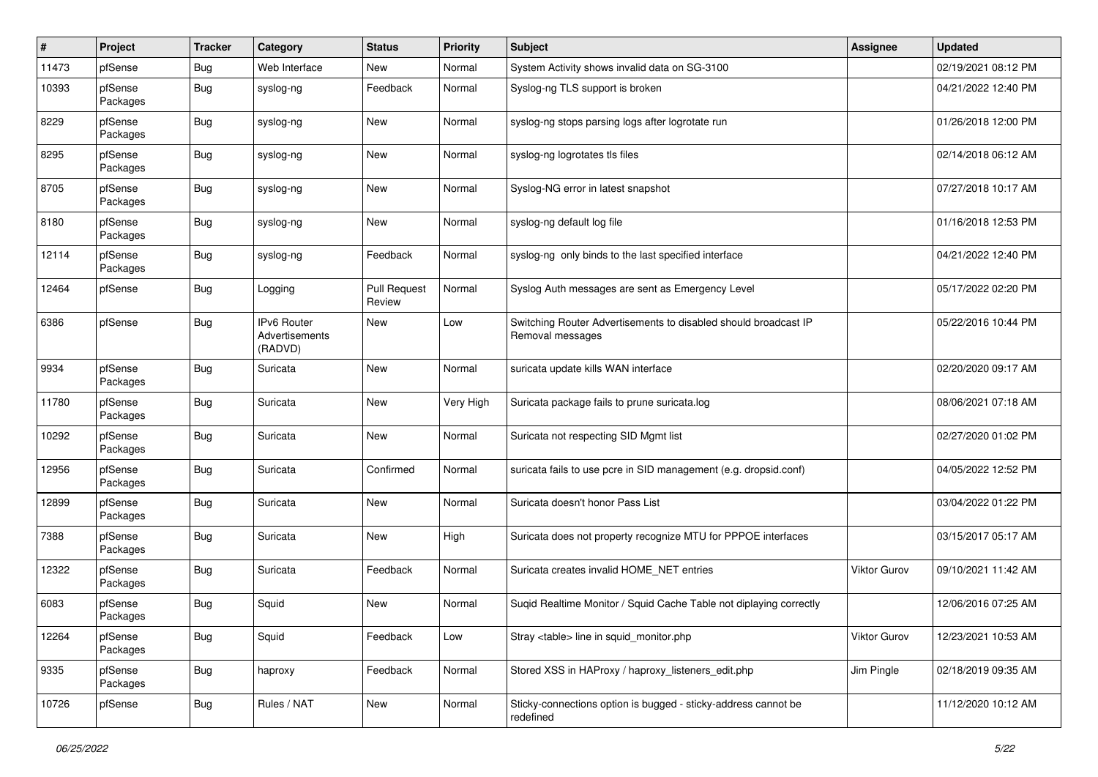| $\pmb{\#}$ | Project             | <b>Tracker</b> | Category                                 | <b>Status</b>                 | <b>Priority</b> | <b>Subject</b>                                                                      | Assignee     | <b>Updated</b>      |
|------------|---------------------|----------------|------------------------------------------|-------------------------------|-----------------|-------------------------------------------------------------------------------------|--------------|---------------------|
| 11473      | pfSense             | Bug            | Web Interface                            | New                           | Normal          | System Activity shows invalid data on SG-3100                                       |              | 02/19/2021 08:12 PM |
| 10393      | pfSense<br>Packages | <b>Bug</b>     | syslog-ng                                | Feedback                      | Normal          | Syslog-ng TLS support is broken                                                     |              | 04/21/2022 12:40 PM |
| 8229       | pfSense<br>Packages | <b>Bug</b>     | syslog-ng                                | New                           | Normal          | syslog-ng stops parsing logs after logrotate run                                    |              | 01/26/2018 12:00 PM |
| 8295       | pfSense<br>Packages | <b>Bug</b>     | syslog-ng                                | <b>New</b>                    | Normal          | syslog-ng logrotates tls files                                                      |              | 02/14/2018 06:12 AM |
| 8705       | pfSense<br>Packages | <b>Bug</b>     | syslog-ng                                | <b>New</b>                    | Normal          | Syslog-NG error in latest snapshot                                                  |              | 07/27/2018 10:17 AM |
| 8180       | pfSense<br>Packages | <b>Bug</b>     | syslog-ng                                | New                           | Normal          | syslog-ng default log file                                                          |              | 01/16/2018 12:53 PM |
| 12114      | pfSense<br>Packages | <b>Bug</b>     | syslog-ng                                | Feedback                      | Normal          | syslog-ng only binds to the last specified interface                                |              | 04/21/2022 12:40 PM |
| 12464      | pfSense             | <b>Bug</b>     | Logging                                  | <b>Pull Request</b><br>Review | Normal          | Syslog Auth messages are sent as Emergency Level                                    |              | 05/17/2022 02:20 PM |
| 6386       | pfSense             | <b>Bug</b>     | IPv6 Router<br>Advertisements<br>(RADVD) | <b>New</b>                    | Low             | Switching Router Advertisements to disabled should broadcast IP<br>Removal messages |              | 05/22/2016 10:44 PM |
| 9934       | pfSense<br>Packages | <b>Bug</b>     | Suricata                                 | New                           | Normal          | suricata update kills WAN interface                                                 |              | 02/20/2020 09:17 AM |
| 11780      | pfSense<br>Packages | <b>Bug</b>     | Suricata                                 | New                           | Very High       | Suricata package fails to prune suricata.log                                        |              | 08/06/2021 07:18 AM |
| 10292      | pfSense<br>Packages | <b>Bug</b>     | Suricata                                 | <b>New</b>                    | Normal          | Suricata not respecting SID Mgmt list                                               |              | 02/27/2020 01:02 PM |
| 12956      | pfSense<br>Packages | <b>Bug</b>     | Suricata                                 | Confirmed                     | Normal          | suricata fails to use pcre in SID management (e.g. dropsid.conf)                    |              | 04/05/2022 12:52 PM |
| 12899      | pfSense<br>Packages | <b>Bug</b>     | Suricata                                 | New                           | Normal          | Suricata doesn't honor Pass List                                                    |              | 03/04/2022 01:22 PM |
| 7388       | pfSense<br>Packages | <b>Bug</b>     | Suricata                                 | New                           | High            | Suricata does not property recognize MTU for PPPOE interfaces                       |              | 03/15/2017 05:17 AM |
| 12322      | pfSense<br>Packages | <b>Bug</b>     | Suricata                                 | Feedback                      | Normal          | Suricata creates invalid HOME_NET entries                                           | Viktor Gurov | 09/10/2021 11:42 AM |
| 6083       | pfSense<br>Packages | <b>Bug</b>     | Squid                                    | <b>New</b>                    | Normal          | Suqid Realtime Monitor / Squid Cache Table not diplaying correctly                  |              | 12/06/2016 07:25 AM |
| 12264      | pfSense<br>Packages | <b>Bug</b>     | Squid                                    | Feedback                      | Low             | Stray <table> line in squid monitor.php</table>                                     | Viktor Gurov | 12/23/2021 10:53 AM |
| 9335       | pfSense<br>Packages | <b>Bug</b>     | haproxy                                  | Feedback                      | Normal          | Stored XSS in HAProxy / haproxy_listeners_edit.php                                  | Jim Pingle   | 02/18/2019 09:35 AM |
| 10726      | pfSense             | <b>Bug</b>     | Rules / NAT                              | New                           | Normal          | Sticky-connections option is bugged - sticky-address cannot be<br>redefined         |              | 11/12/2020 10:12 AM |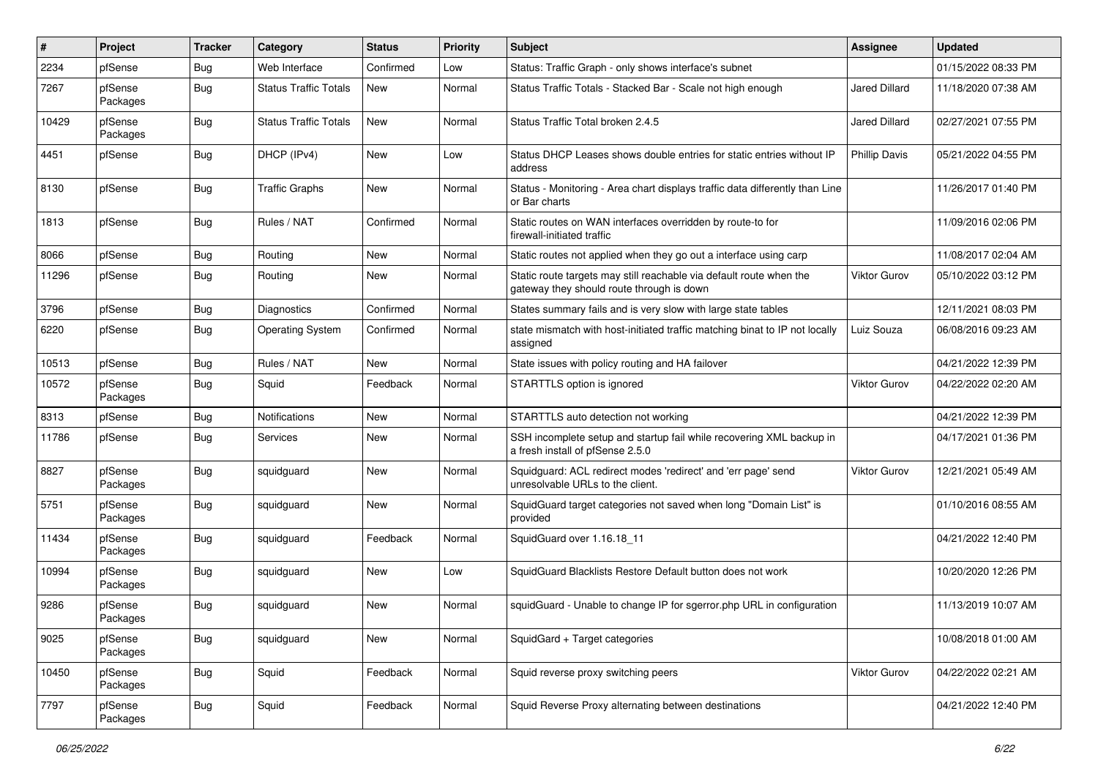| #     | Project             | <b>Tracker</b> | Category                     | <b>Status</b> | <b>Priority</b> | Subject                                                                                                          | <b>Assignee</b> | <b>Updated</b>      |
|-------|---------------------|----------------|------------------------------|---------------|-----------------|------------------------------------------------------------------------------------------------------------------|-----------------|---------------------|
| 2234  | pfSense             | Bug            | Web Interface                | Confirmed     | Low             | Status: Traffic Graph - only shows interface's subnet                                                            |                 | 01/15/2022 08:33 PM |
| 7267  | pfSense<br>Packages | Bug            | <b>Status Traffic Totals</b> | <b>New</b>    | Normal          | Status Traffic Totals - Stacked Bar - Scale not high enough                                                      | Jared Dillard   | 11/18/2020 07:38 AM |
| 10429 | pfSense<br>Packages | Bug            | <b>Status Traffic Totals</b> | <b>New</b>    | Normal          | Status Traffic Total broken 2.4.5                                                                                | Jared Dillard   | 02/27/2021 07:55 PM |
| 4451  | pfSense             | <b>Bug</b>     | DHCP (IPv4)                  | <b>New</b>    | Low             | Status DHCP Leases shows double entries for static entries without IP<br>address                                 | Phillip Davis   | 05/21/2022 04:55 PM |
| 8130  | pfSense             | Bug            | <b>Traffic Graphs</b>        | <b>New</b>    | Normal          | Status - Monitoring - Area chart displays traffic data differently than Line<br>or Bar charts                    |                 | 11/26/2017 01:40 PM |
| 1813  | pfSense             | Bug            | Rules / NAT                  | Confirmed     | Normal          | Static routes on WAN interfaces overridden by route-to for<br>firewall-initiated traffic                         |                 | 11/09/2016 02:06 PM |
| 8066  | pfSense             | Bug            | Routing                      | <b>New</b>    | Normal          | Static routes not applied when they go out a interface using carp                                                |                 | 11/08/2017 02:04 AM |
| 11296 | pfSense             | Bug            | Routing                      | New           | Normal          | Static route targets may still reachable via default route when the<br>gateway they should route through is down | Viktor Gurov    | 05/10/2022 03:12 PM |
| 3796  | pfSense             | Bug            | Diagnostics                  | Confirmed     | Normal          | States summary fails and is very slow with large state tables                                                    |                 | 12/11/2021 08:03 PM |
| 6220  | pfSense             | Bug            | <b>Operating System</b>      | Confirmed     | Normal          | state mismatch with host-initiated traffic matching binat to IP not locally<br>assigned                          | Luiz Souza      | 06/08/2016 09:23 AM |
| 10513 | pfSense             | Bug            | Rules / NAT                  | New           | Normal          | State issues with policy routing and HA failover                                                                 |                 | 04/21/2022 12:39 PM |
| 10572 | pfSense<br>Packages | <b>Bug</b>     | Squid                        | Feedback      | Normal          | STARTTLS option is ignored                                                                                       | Viktor Gurov    | 04/22/2022 02:20 AM |
| 8313  | pfSense             | Bug            | Notifications                | <b>New</b>    | Normal          | STARTTLS auto detection not working                                                                              |                 | 04/21/2022 12:39 PM |
| 11786 | pfSense             | Bug            | Services                     | New           | Normal          | SSH incomplete setup and startup fail while recovering XML backup in<br>a fresh install of pfSense 2.5.0         |                 | 04/17/2021 01:36 PM |
| 8827  | pfSense<br>Packages | <b>Bug</b>     | squidguard                   | New           | Normal          | Squidguard: ACL redirect modes 'redirect' and 'err page' send<br>unresolvable URLs to the client.                | Viktor Gurov    | 12/21/2021 05:49 AM |
| 5751  | pfSense<br>Packages | <b>Bug</b>     | squidguard                   | New           | Normal          | SquidGuard target categories not saved when long "Domain List" is<br>provided                                    |                 | 01/10/2016 08:55 AM |
| 11434 | pfSense<br>Packages | Bug            | squidguard                   | Feedback      | Normal          | SquidGuard over 1.16.18 11                                                                                       |                 | 04/21/2022 12:40 PM |
| 10994 | pfSense<br>Packages | <b>Bug</b>     | squidguard                   | New           | Low             | SquidGuard Blacklists Restore Default button does not work                                                       |                 | 10/20/2020 12:26 PM |
| 9286  | pfSense<br>Packages | Bug            | squidguard                   | New           | Normal          | squidGuard - Unable to change IP for sgerror.php URL in configuration                                            |                 | 11/13/2019 10:07 AM |
| 9025  | pfSense<br>Packages | <b>Bug</b>     | squidguard                   | New           | Normal          | SquidGard + Target categories                                                                                    |                 | 10/08/2018 01:00 AM |
| 10450 | pfSense<br>Packages | <b>Bug</b>     | Squid                        | Feedback      | Normal          | Squid reverse proxy switching peers                                                                              | Viktor Gurov    | 04/22/2022 02:21 AM |
| 7797  | pfSense<br>Packages | Bug            | Squid                        | Feedback      | Normal          | Squid Reverse Proxy alternating between destinations                                                             |                 | 04/21/2022 12:40 PM |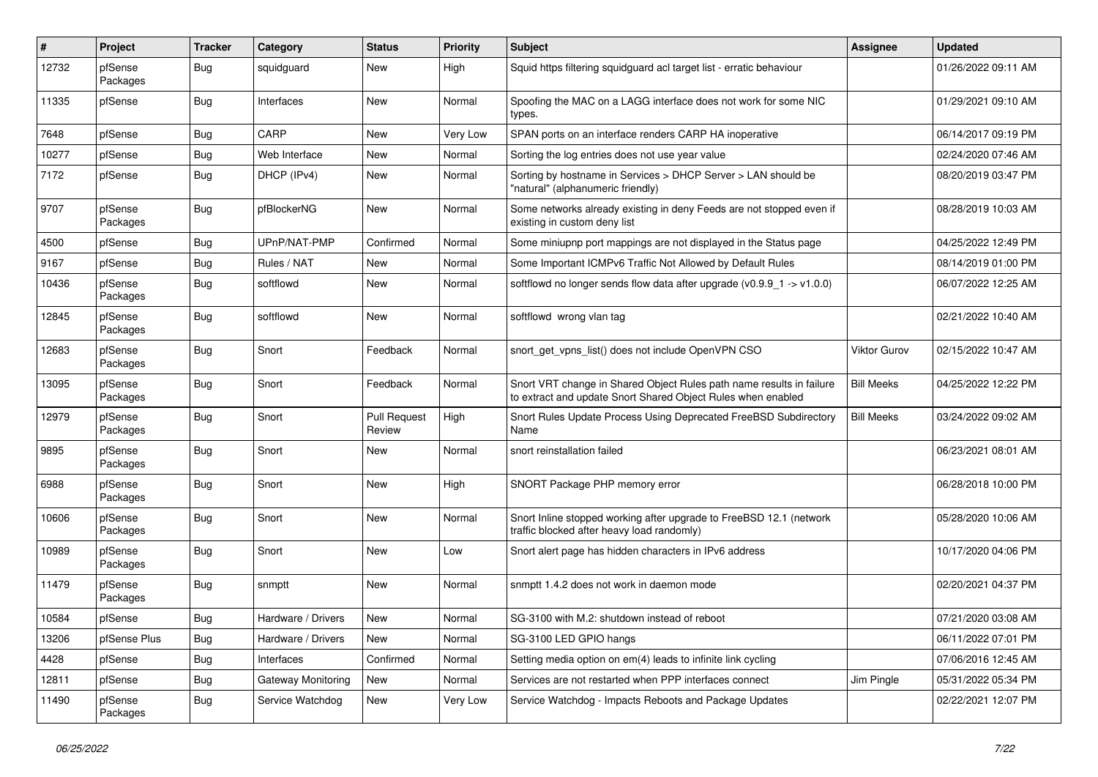| $\#$  | Project             | <b>Tracker</b> | Category           | <b>Status</b>                 | <b>Priority</b> | <b>Subject</b>                                                                                                                       | <b>Assignee</b>     | <b>Updated</b>      |
|-------|---------------------|----------------|--------------------|-------------------------------|-----------------|--------------------------------------------------------------------------------------------------------------------------------------|---------------------|---------------------|
| 12732 | pfSense<br>Packages | Bug            | squidguard         | New                           | High            | Squid https filtering squidguard acl target list - erratic behaviour                                                                 |                     | 01/26/2022 09:11 AM |
| 11335 | pfSense             | Bug            | Interfaces         | <b>New</b>                    | Normal          | Spoofing the MAC on a LAGG interface does not work for some NIC<br>types.                                                            |                     | 01/29/2021 09:10 AM |
| 7648  | pfSense             | Bug            | CARP               | <b>New</b>                    | Very Low        | SPAN ports on an interface renders CARP HA inoperative                                                                               |                     | 06/14/2017 09:19 PM |
| 10277 | pfSense             | <b>Bug</b>     | Web Interface      | New                           | Normal          | Sorting the log entries does not use year value                                                                                      |                     | 02/24/2020 07:46 AM |
| 7172  | pfSense             | Bug            | DHCP (IPv4)        | New                           | Normal          | Sorting by hostname in Services > DHCP Server > LAN should be<br>"natural" (alphanumeric friendly)                                   |                     | 08/20/2019 03:47 PM |
| 9707  | pfSense<br>Packages | Bug            | pfBlockerNG        | New                           | Normal          | Some networks already existing in deny Feeds are not stopped even if<br>existing in custom deny list                                 |                     | 08/28/2019 10:03 AM |
| 4500  | pfSense             | <b>Bug</b>     | UPnP/NAT-PMP       | Confirmed                     | Normal          | Some miniupnp port mappings are not displayed in the Status page                                                                     |                     | 04/25/2022 12:49 PM |
| 9167  | pfSense             | <b>Bug</b>     | Rules / NAT        | New                           | Normal          | Some Important ICMPv6 Traffic Not Allowed by Default Rules                                                                           |                     | 08/14/2019 01:00 PM |
| 10436 | pfSense<br>Packages | Bug            | softflowd          | New                           | Normal          | softflowd no longer sends flow data after upgrade (v0.9.9_1 -> v1.0.0)                                                               |                     | 06/07/2022 12:25 AM |
| 12845 | pfSense<br>Packages | Bug            | softflowd          | New                           | Normal          | softflowd wrong vlan tag                                                                                                             |                     | 02/21/2022 10:40 AM |
| 12683 | pfSense<br>Packages | Bug            | Snort              | Feedback                      | Normal          | snort_get_vpns_list() does not include OpenVPN CSO                                                                                   | <b>Viktor Gurov</b> | 02/15/2022 10:47 AM |
| 13095 | pfSense<br>Packages | Bug            | Snort              | Feedback                      | Normal          | Snort VRT change in Shared Object Rules path name results in failure<br>to extract and update Snort Shared Object Rules when enabled | <b>Bill Meeks</b>   | 04/25/2022 12:22 PM |
| 12979 | pfSense<br>Packages | Bug            | Snort              | <b>Pull Request</b><br>Review | High            | Snort Rules Update Process Using Deprecated FreeBSD Subdirectory<br>Name                                                             | <b>Bill Meeks</b>   | 03/24/2022 09:02 AM |
| 9895  | pfSense<br>Packages | Bug            | Snort              | New                           | Normal          | snort reinstallation failed                                                                                                          |                     | 06/23/2021 08:01 AM |
| 6988  | pfSense<br>Packages | Bug            | Snort              | <b>New</b>                    | High            | SNORT Package PHP memory error                                                                                                       |                     | 06/28/2018 10:00 PM |
| 10606 | pfSense<br>Packages | Bug            | Snort              | New                           | Normal          | Snort Inline stopped working after upgrade to FreeBSD 12.1 (network<br>traffic blocked after heavy load randomly)                    |                     | 05/28/2020 10:06 AM |
| 10989 | pfSense<br>Packages | Bug            | Snort              | New                           | Low             | Snort alert page has hidden characters in IPv6 address                                                                               |                     | 10/17/2020 04:06 PM |
| 11479 | pfSense<br>Packages | Bug            | snmptt             | <b>New</b>                    | Normal          | snmptt 1.4.2 does not work in daemon mode                                                                                            |                     | 02/20/2021 04:37 PM |
| 10584 | pfSense             | Bug            | Hardware / Drivers | New                           | Normal          | SG-3100 with M.2: shutdown instead of reboot                                                                                         |                     | 07/21/2020 03:08 AM |
| 13206 | pfSense Plus        | Bug            | Hardware / Drivers | New                           | Normal          | SG-3100 LED GPIO hangs                                                                                                               |                     | 06/11/2022 07:01 PM |
| 4428  | pfSense             | <b>Bug</b>     | Interfaces         | Confirmed                     | Normal          | Setting media option on em(4) leads to infinite link cycling                                                                         |                     | 07/06/2016 12:45 AM |
| 12811 | pfSense             | <b>Bug</b>     | Gateway Monitoring | New                           | Normal          | Services are not restarted when PPP interfaces connect                                                                               | Jim Pingle          | 05/31/2022 05:34 PM |
| 11490 | pfSense<br>Packages | Bug            | Service Watchdog   | New                           | Very Low        | Service Watchdog - Impacts Reboots and Package Updates                                                                               |                     | 02/22/2021 12:07 PM |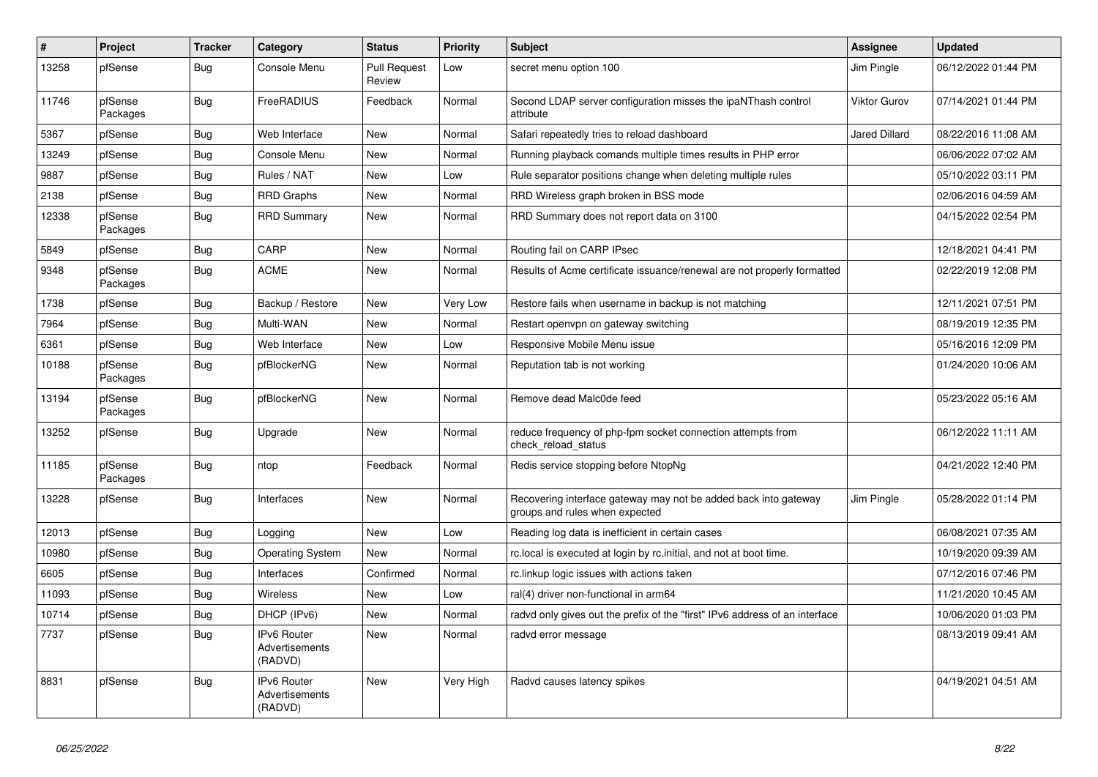| $\vert$ # | Project             | <b>Tracker</b> | Category                                        | <b>Status</b>                 | <b>Priority</b> | <b>Subject</b>                                                                                    | <b>Assignee</b>      | <b>Updated</b>      |
|-----------|---------------------|----------------|-------------------------------------------------|-------------------------------|-----------------|---------------------------------------------------------------------------------------------------|----------------------|---------------------|
| 13258     | pfSense             | <b>Bug</b>     | Console Menu                                    | <b>Pull Request</b><br>Review | Low             | secret menu option 100                                                                            | Jim Pingle           | 06/12/2022 01:44 PM |
| 11746     | pfSense<br>Packages | <b>Bug</b>     | FreeRADIUS                                      | Feedback                      | Normal          | Second LDAP server configuration misses the ipaNThash control<br>attribute                        | Viktor Gurov         | 07/14/2021 01:44 PM |
| 5367      | pfSense             | <b>Bug</b>     | Web Interface                                   | <b>New</b>                    | Normal          | Safari repeatedly tries to reload dashboard                                                       | <b>Jared Dillard</b> | 08/22/2016 11:08 AM |
| 13249     | pfSense             | <b>Bug</b>     | Console Menu                                    | <b>New</b>                    | Normal          | Running playback comands multiple times results in PHP error                                      |                      | 06/06/2022 07:02 AM |
| 9887      | pfSense             | Bug            | Rules / NAT                                     | <b>New</b>                    | Low             | Rule separator positions change when deleting multiple rules                                      |                      | 05/10/2022 03:11 PM |
| 2138      | pfSense             | Bug            | <b>RRD Graphs</b>                               | <b>New</b>                    | Normal          | RRD Wireless graph broken in BSS mode                                                             |                      | 02/06/2016 04:59 AM |
| 12338     | pfSense<br>Packages | <b>Bug</b>     | <b>RRD Summary</b>                              | <b>New</b>                    | Normal          | RRD Summary does not report data on 3100                                                          |                      | 04/15/2022 02:54 PM |
| 5849      | pfSense             | <b>Bug</b>     | CARP                                            | New                           | Normal          | Routing fail on CARP IPsec                                                                        |                      | 12/18/2021 04:41 PM |
| 9348      | pfSense<br>Packages | <b>Bug</b>     | <b>ACME</b>                                     | New                           | Normal          | Results of Acme certificate issuance/renewal are not properly formatted                           |                      | 02/22/2019 12:08 PM |
| 1738      | pfSense             | Bug            | Backup / Restore                                | New                           | Very Low        | Restore fails when username in backup is not matching                                             |                      | 12/11/2021 07:51 PM |
| 7964      | pfSense             | <b>Bug</b>     | Multi-WAN                                       | New                           | Normal          | Restart openvpn on gateway switching                                                              |                      | 08/19/2019 12:35 PM |
| 6361      | pfSense             | <b>Bug</b>     | Web Interface                                   | <b>New</b>                    | Low             | Responsive Mobile Menu issue                                                                      |                      | 05/16/2016 12:09 PM |
| 10188     | pfSense<br>Packages | <b>Bug</b>     | pfBlockerNG                                     | New                           | Normal          | Reputation tab is not working                                                                     |                      | 01/24/2020 10:06 AM |
| 13194     | pfSense<br>Packages | Bug            | pfBlockerNG                                     | <b>New</b>                    | Normal          | Remove dead Malc0de feed                                                                          |                      | 05/23/2022 05:16 AM |
| 13252     | pfSense             | Bug            | Upgrade                                         | <b>New</b>                    | Normal          | reduce frequency of php-fpm socket connection attempts from<br>check reload status                |                      | 06/12/2022 11:11 AM |
| 11185     | pfSense<br>Packages | Bug            | ntop                                            | Feedback                      | Normal          | Redis service stopping before NtopNg                                                              |                      | 04/21/2022 12:40 PM |
| 13228     | pfSense             | Bug            | Interfaces                                      | <b>New</b>                    | Normal          | Recovering interface gateway may not be added back into gateway<br>groups and rules when expected | Jim Pingle           | 05/28/2022 01:14 PM |
| 12013     | pfSense             | Bug            | Logging                                         | New                           | Low             | Reading log data is inefficient in certain cases                                                  |                      | 06/08/2021 07:35 AM |
| 10980     | pfSense             | <b>Bug</b>     | <b>Operating System</b>                         | <b>New</b>                    | Normal          | rc.local is executed at login by rc.initial, and not at boot time.                                |                      | 10/19/2020 09:39 AM |
| 6605      | pfSense             | <b>Bug</b>     | Interfaces                                      | Confirmed                     | Normal          | rc.linkup logic issues with actions taken                                                         |                      | 07/12/2016 07:46 PM |
| 11093     | pfSense             | <b>Bug</b>     | <b>Wireless</b>                                 | <b>New</b>                    | Low             | ral(4) driver non-functional in arm64                                                             |                      | 11/21/2020 10:45 AM |
| 10714     | pfSense             | Bug            | DHCP (IPv6)                                     | <b>New</b>                    | Normal          | radvd only gives out the prefix of the "first" IPv6 address of an interface                       |                      | 10/06/2020 01:03 PM |
| 7737      | pfSense             | <b>Bug</b>     | <b>IPv6 Router</b><br>Advertisements<br>(RADVD) | <b>New</b>                    | Normal          | radvd error message                                                                               |                      | 08/13/2019 09:41 AM |
| 8831      | pfSense             | Bug            | IPv6 Router<br>Advertisements<br>(RADVD)        | New                           | Very High       | Radvd causes latency spikes                                                                       |                      | 04/19/2021 04:51 AM |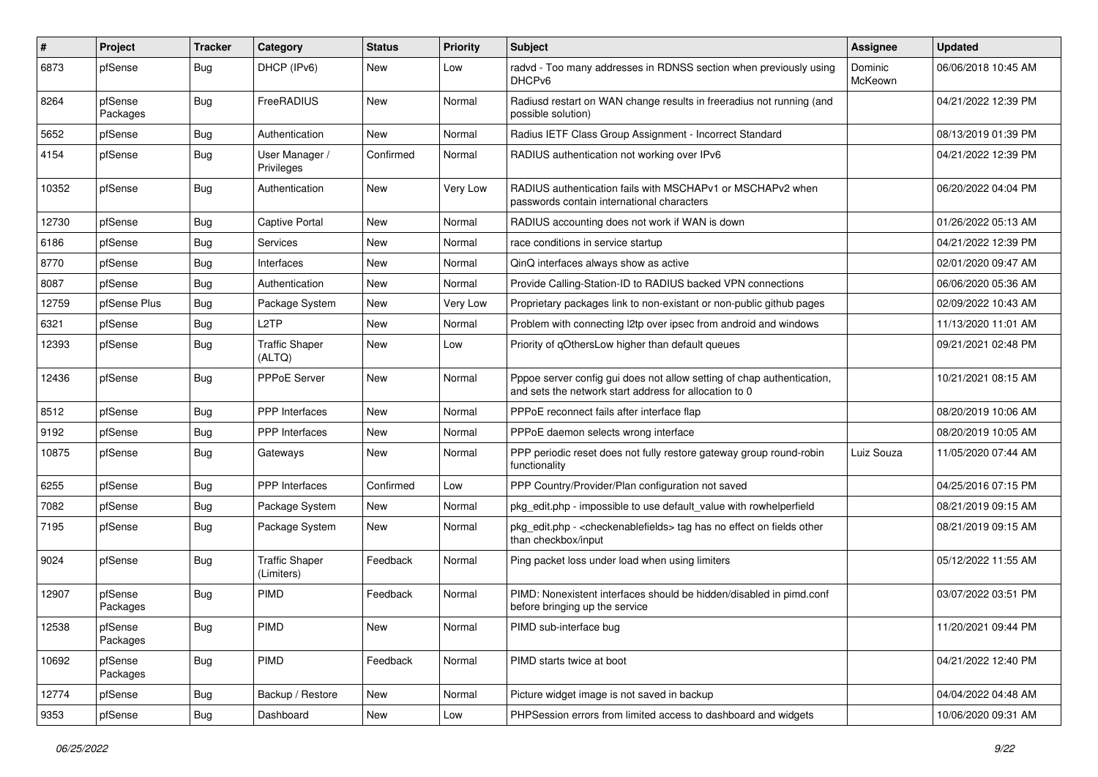| $\sharp$ | Project             | <b>Tracker</b> | Category                            | <b>Status</b> | <b>Priority</b> | Subject                                                                                                                          | <b>Assignee</b>    | <b>Updated</b>      |
|----------|---------------------|----------------|-------------------------------------|---------------|-----------------|----------------------------------------------------------------------------------------------------------------------------------|--------------------|---------------------|
| 6873     | pfSense             | Bug            | DHCP (IPv6)                         | New           | Low             | radvd - Too many addresses in RDNSS section when previously using<br>DHCP <sub>v6</sub>                                          | Dominic<br>McKeown | 06/06/2018 10:45 AM |
| 8264     | pfSense<br>Packages | <b>Bug</b>     | FreeRADIUS                          | <b>New</b>    | Normal          | Radiusd restart on WAN change results in freeradius not running (and<br>possible solution)                                       |                    | 04/21/2022 12:39 PM |
| 5652     | pfSense             | <b>Bug</b>     | Authentication                      | <b>New</b>    | Normal          | Radius IETF Class Group Assignment - Incorrect Standard                                                                          |                    | 08/13/2019 01:39 PM |
| 4154     | pfSense             | <b>Bug</b>     | User Manager /<br>Privileges        | Confirmed     | Normal          | RADIUS authentication not working over IPv6                                                                                      |                    | 04/21/2022 12:39 PM |
| 10352    | pfSense             | Bug            | Authentication                      | <b>New</b>    | Very Low        | RADIUS authentication fails with MSCHAPv1 or MSCHAPv2 when<br>passwords contain international characters                         |                    | 06/20/2022 04:04 PM |
| 12730    | pfSense             | <b>Bug</b>     | <b>Captive Portal</b>               | New           | Normal          | RADIUS accounting does not work if WAN is down                                                                                   |                    | 01/26/2022 05:13 AM |
| 6186     | pfSense             | <b>Bug</b>     | Services                            | New           | Normal          | race conditions in service startup                                                                                               |                    | 04/21/2022 12:39 PM |
| 8770     | pfSense             | <b>Bug</b>     | Interfaces                          | New           | Normal          | QinQ interfaces always show as active                                                                                            |                    | 02/01/2020 09:47 AM |
| 8087     | pfSense             | Bug            | Authentication                      | <b>New</b>    | Normal          | Provide Calling-Station-ID to RADIUS backed VPN connections                                                                      |                    | 06/06/2020 05:36 AM |
| 12759    | pfSense Plus        | <b>Bug</b>     | Package System                      | New           | Very Low        | Proprietary packages link to non-existant or non-public github pages                                                             |                    | 02/09/2022 10:43 AM |
| 6321     | pfSense             | Bug            | L <sub>2</sub> TP                   | <b>New</b>    | Normal          | Problem with connecting I2tp over ipsec from android and windows                                                                 |                    | 11/13/2020 11:01 AM |
| 12393    | pfSense             | Bug            | <b>Traffic Shaper</b><br>(ALTQ)     | <b>New</b>    | Low             | Priority of qOthersLow higher than default queues                                                                                |                    | 09/21/2021 02:48 PM |
| 12436    | pfSense             | Bug            | <b>PPPoE Server</b>                 | <b>New</b>    | Normal          | Pppoe server config gui does not allow setting of chap authentication,<br>and sets the network start address for allocation to 0 |                    | 10/21/2021 08:15 AM |
| 8512     | pfSense             | <b>Bug</b>     | <b>PPP</b> Interfaces               | <b>New</b>    | Normal          | PPPoE reconnect fails after interface flap                                                                                       |                    | 08/20/2019 10:06 AM |
| 9192     | pfSense             | Bug            | PPP Interfaces                      | <b>New</b>    | Normal          | PPPoE daemon selects wrong interface                                                                                             |                    | 08/20/2019 10:05 AM |
| 10875    | pfSense             | Bug            | Gateways                            | New           | Normal          | PPP periodic reset does not fully restore gateway group round-robin<br>functionality                                             | Luiz Souza         | 11/05/2020 07:44 AM |
| 6255     | pfSense             | <b>Bug</b>     | <b>PPP</b> Interfaces               | Confirmed     | Low             | PPP Country/Provider/Plan configuration not saved                                                                                |                    | 04/25/2016 07:15 PM |
| 7082     | pfSense             | Bug            | Package System                      | New           | Normal          | pkg_edit.php - impossible to use default_value with rowhelperfield                                                               |                    | 08/21/2019 09:15 AM |
| 7195     | pfSense             | Bug            | Package System                      | New           | Normal          | pkg_edit.php - <checkenablefields> tag has no effect on fields other<br/>than checkbox/input</checkenablefields>                 |                    | 08/21/2019 09:15 AM |
| 9024     | pfSense             | Bug            | <b>Traffic Shaper</b><br>(Limiters) | Feedback      | Normal          | Ping packet loss under load when using limiters                                                                                  |                    | 05/12/2022 11:55 AM |
| 12907    | pfSense<br>Packages | Bug            | <b>PIMD</b>                         | Feedback      | Normal          | PIMD: Nonexistent interfaces should be hidden/disabled in pimd.conf<br>before bringing up the service                            |                    | 03/07/2022 03:51 PM |
| 12538    | pfSense<br>Packages | <b>Bug</b>     | PIMD                                | New           | Normal          | PIMD sub-interface bug                                                                                                           |                    | 11/20/2021 09:44 PM |
| 10692    | pfSense<br>Packages | <b>Bug</b>     | PIMD                                | Feedback      | Normal          | PIMD starts twice at boot                                                                                                        |                    | 04/21/2022 12:40 PM |
| 12774    | pfSense             | <b>Bug</b>     | Backup / Restore                    | New           | Normal          | Picture widget image is not saved in backup                                                                                      |                    | 04/04/2022 04:48 AM |
| 9353     | pfSense             | <b>Bug</b>     | Dashboard                           | New           | Low             | PHPSession errors from limited access to dashboard and widgets                                                                   |                    | 10/06/2020 09:31 AM |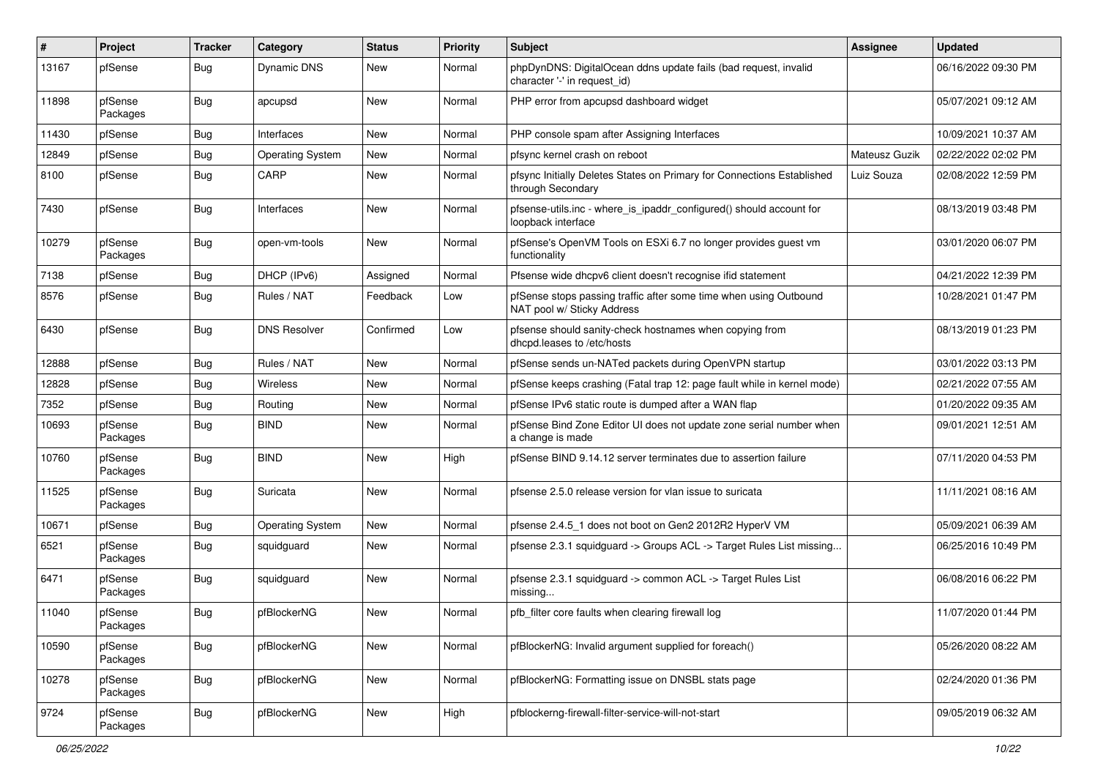| #     | Project             | <b>Tracker</b> | Category                | <b>Status</b> | <b>Priority</b> | Subject                                                                                         | <b>Assignee</b> | <b>Updated</b>      |
|-------|---------------------|----------------|-------------------------|---------------|-----------------|-------------------------------------------------------------------------------------------------|-----------------|---------------------|
| 13167 | pfSense             | Bug            | Dynamic DNS             | New           | Normal          | phpDynDNS: DigitalOcean ddns update fails (bad request, invalid<br>character '-' in request_id) |                 | 06/16/2022 09:30 PM |
| 11898 | pfSense<br>Packages | Bug            | apcupsd                 | <b>New</b>    | Normal          | PHP error from apcupsd dashboard widget                                                         |                 | 05/07/2021 09:12 AM |
| 11430 | pfSense             | <b>Bug</b>     | Interfaces              | <b>New</b>    | Normal          | PHP console spam after Assigning Interfaces                                                     |                 | 10/09/2021 10:37 AM |
| 12849 | pfSense             | Bug            | <b>Operating System</b> | New           | Normal          | pfsync kernel crash on reboot                                                                   | Mateusz Guzik   | 02/22/2022 02:02 PM |
| 8100  | pfSense             | Bug            | CARP                    | New           | Normal          | pfsync Initially Deletes States on Primary for Connections Established<br>through Secondary     | Luiz Souza      | 02/08/2022 12:59 PM |
| 7430  | pfSense             | <b>Bug</b>     | Interfaces              | <b>New</b>    | Normal          | pfsense-utils.inc - where is ipaddr configured() should account for<br>loopback interface       |                 | 08/13/2019 03:48 PM |
| 10279 | pfSense<br>Packages | <b>Bug</b>     | open-vm-tools           | <b>New</b>    | Normal          | pfSense's OpenVM Tools on ESXi 6.7 no longer provides guest vm<br>functionality                 |                 | 03/01/2020 06:07 PM |
| 7138  | pfSense             | <b>Bug</b>     | DHCP (IPv6)             | Assigned      | Normal          | Pfsense wide dhcpv6 client doesn't recognise ifid statement                                     |                 | 04/21/2022 12:39 PM |
| 8576  | pfSense             | Bug            | Rules / NAT             | Feedback      | Low             | pfSense stops passing traffic after some time when using Outbound<br>NAT pool w/ Sticky Address |                 | 10/28/2021 01:47 PM |
| 6430  | pfSense             | Bug            | <b>DNS Resolver</b>     | Confirmed     | Low             | pfsense should sanity-check hostnames when copying from<br>dhcpd.leases to /etc/hosts           |                 | 08/13/2019 01:23 PM |
| 12888 | pfSense             | <b>Bug</b>     | Rules / NAT             | New           | Normal          | pfSense sends un-NATed packets during OpenVPN startup                                           |                 | 03/01/2022 03:13 PM |
| 12828 | pfSense             | <b>Bug</b>     | Wireless                | <b>New</b>    | Normal          | pfSense keeps crashing (Fatal trap 12: page fault while in kernel mode)                         |                 | 02/21/2022 07:55 AM |
| 7352  | pfSense             | <b>Bug</b>     | Routing                 | New           | Normal          | pfSense IPv6 static route is dumped after a WAN flap                                            |                 | 01/20/2022 09:35 AM |
| 10693 | pfSense<br>Packages | Bug            | <b>BIND</b>             | <b>New</b>    | Normal          | pfSense Bind Zone Editor UI does not update zone serial number when<br>a change is made         |                 | 09/01/2021 12:51 AM |
| 10760 | pfSense<br>Packages | Bug            | <b>BIND</b>             | New           | High            | pfSense BIND 9.14.12 server terminates due to assertion failure                                 |                 | 07/11/2020 04:53 PM |
| 11525 | pfSense<br>Packages | Bug            | Suricata                | <b>New</b>    | Normal          | pfsense 2.5.0 release version for vlan issue to suricata                                        |                 | 11/11/2021 08:16 AM |
| 10671 | pfSense             | Bug            | <b>Operating System</b> | New           | Normal          | pfsense 2.4.5_1 does not boot on Gen2 2012R2 HyperV VM                                          |                 | 05/09/2021 06:39 AM |
| 6521  | pfSense<br>Packages | <b>Bug</b>     | squidquard              | New           | Normal          | pfsense 2.3.1 squidguard -> Groups ACL -> Target Rules List missing                             |                 | 06/25/2016 10:49 PM |
| 6471  | pfSense<br>Packages | <b>Bug</b>     | squidguard              | <b>New</b>    | Normal          | pfsense 2.3.1 squidguard -> common ACL -> Target Rules List<br>missing                          |                 | 06/08/2016 06:22 PM |
| 11040 | pfSense<br>Packages | <b>Bug</b>     | pfBlockerNG             | <b>New</b>    | Normal          | pfb filter core faults when clearing firewall log                                               |                 | 11/07/2020 01:44 PM |
| 10590 | pfSense<br>Packages | Bug            | pfBlockerNG             | <b>New</b>    | Normal          | pfBlockerNG: Invalid argument supplied for foreach()                                            |                 | 05/26/2020 08:22 AM |
| 10278 | pfSense<br>Packages | Bug            | pfBlockerNG             | New           | Normal          | pfBlockerNG: Formatting issue on DNSBL stats page                                               |                 | 02/24/2020 01:36 PM |
| 9724  | pfSense<br>Packages | Bug            | pfBlockerNG             | New           | High            | pfblockerng-firewall-filter-service-will-not-start                                              |                 | 09/05/2019 06:32 AM |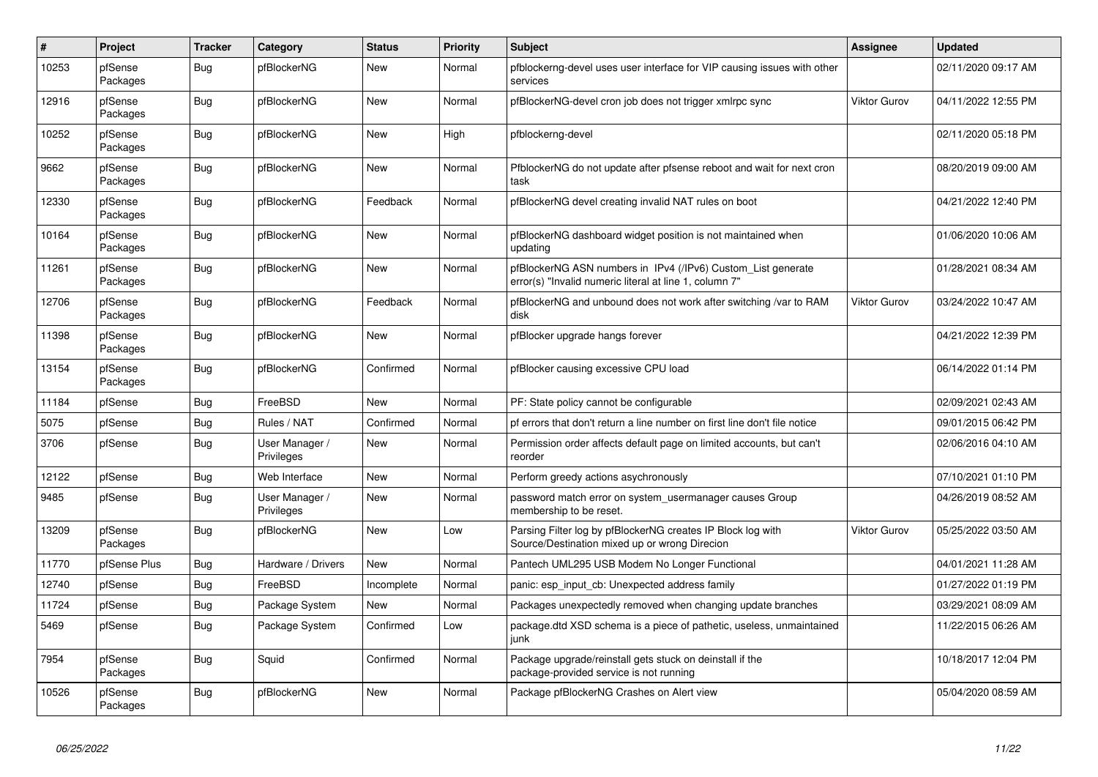| $\#$  | Project             | <b>Tracker</b> | Category                     | <b>Status</b> | <b>Priority</b> | <b>Subject</b>                                                                                                         | <b>Assignee</b>     | <b>Updated</b>      |
|-------|---------------------|----------------|------------------------------|---------------|-----------------|------------------------------------------------------------------------------------------------------------------------|---------------------|---------------------|
| 10253 | pfSense<br>Packages | Bug            | pfBlockerNG                  | New           | Normal          | pfblockerng-devel uses user interface for VIP causing issues with other<br>services                                    |                     | 02/11/2020 09:17 AM |
| 12916 | pfSense<br>Packages | <b>Bug</b>     | pfBlockerNG                  | <b>New</b>    | Normal          | pfBlockerNG-devel cron job does not trigger xmlrpc sync                                                                | Viktor Gurov        | 04/11/2022 12:55 PM |
| 10252 | pfSense<br>Packages | Bug            | pfBlockerNG                  | New           | High            | pfblockerng-devel                                                                                                      |                     | 02/11/2020 05:18 PM |
| 9662  | pfSense<br>Packages | Bug            | pfBlockerNG                  | New           | Normal          | PfblockerNG do not update after pfsense reboot and wait for next cron<br>task                                          |                     | 08/20/2019 09:00 AM |
| 12330 | pfSense<br>Packages | <b>Bug</b>     | pfBlockerNG                  | Feedback      | Normal          | pfBlockerNG devel creating invalid NAT rules on boot                                                                   |                     | 04/21/2022 12:40 PM |
| 10164 | pfSense<br>Packages | Bug            | pfBlockerNG                  | <b>New</b>    | Normal          | pfBlockerNG dashboard widget position is not maintained when<br>updating                                               |                     | 01/06/2020 10:06 AM |
| 11261 | pfSense<br>Packages | Bug            | pfBlockerNG                  | New           | Normal          | pfBlockerNG ASN numbers in IPv4 (/IPv6) Custom_List generate<br>error(s) "Invalid numeric literal at line 1, column 7" |                     | 01/28/2021 08:34 AM |
| 12706 | pfSense<br>Packages | Bug            | pfBlockerNG                  | Feedback      | Normal          | pfBlockerNG and unbound does not work after switching /var to RAM<br>disk                                              | <b>Viktor Gurov</b> | 03/24/2022 10:47 AM |
| 11398 | pfSense<br>Packages | <b>Bug</b>     | pfBlockerNG                  | New           | Normal          | pfBlocker upgrade hangs forever                                                                                        |                     | 04/21/2022 12:39 PM |
| 13154 | pfSense<br>Packages | Bug            | pfBlockerNG                  | Confirmed     | Normal          | pfBlocker causing excessive CPU load                                                                                   |                     | 06/14/2022 01:14 PM |
| 11184 | pfSense             | Bug            | FreeBSD                      | <b>New</b>    | Normal          | PF: State policy cannot be configurable                                                                                |                     | 02/09/2021 02:43 AM |
| 5075  | pfSense             | Bug            | Rules / NAT                  | Confirmed     | Normal          | pf errors that don't return a line number on first line don't file notice                                              |                     | 09/01/2015 06:42 PM |
| 3706  | pfSense             | Bug            | User Manager /<br>Privileges | New           | Normal          | Permission order affects default page on limited accounts, but can't<br>reorder                                        |                     | 02/06/2016 04:10 AM |
| 12122 | pfSense             | Bug            | Web Interface                | <b>New</b>    | Normal          | Perform greedy actions asychronously                                                                                   |                     | 07/10/2021 01:10 PM |
| 9485  | pfSense             | Bug            | User Manager /<br>Privileges | New           | Normal          | password match error on system usermanager causes Group<br>membership to be reset.                                     |                     | 04/26/2019 08:52 AM |
| 13209 | pfSense<br>Packages | Bug            | pfBlockerNG                  | <b>New</b>    | Low             | Parsing Filter log by pfBlockerNG creates IP Block log with<br>Source/Destination mixed up or wrong Direcion           | Viktor Gurov        | 05/25/2022 03:50 AM |
| 11770 | pfSense Plus        | Bug            | Hardware / Drivers           | <b>New</b>    | Normal          | Pantech UML295 USB Modem No Longer Functional                                                                          |                     | 04/01/2021 11:28 AM |
| 12740 | pfSense             | <b>Bug</b>     | FreeBSD                      | Incomplete    | Normal          | panic: esp input cb: Unexpected address family                                                                         |                     | 01/27/2022 01:19 PM |
| 11724 | pfSense             | <b>Bug</b>     | Package System               | <b>New</b>    | Normal          | Packages unexpectedly removed when changing update branches                                                            |                     | 03/29/2021 08:09 AM |
| 5469  | pfSense             | <b>Bug</b>     | Package System               | Confirmed     | Low             | package.dtd XSD schema is a piece of pathetic, useless, unmaintained<br>junk                                           |                     | 11/22/2015 06:26 AM |
| 7954  | pfSense<br>Packages | <b>Bug</b>     | Squid                        | Confirmed     | Normal          | Package upgrade/reinstall gets stuck on deinstall if the<br>package-provided service is not running                    |                     | 10/18/2017 12:04 PM |
| 10526 | pfSense<br>Packages | Bug            | pfBlockerNG                  | <b>New</b>    | Normal          | Package pfBlockerNG Crashes on Alert view                                                                              |                     | 05/04/2020 08:59 AM |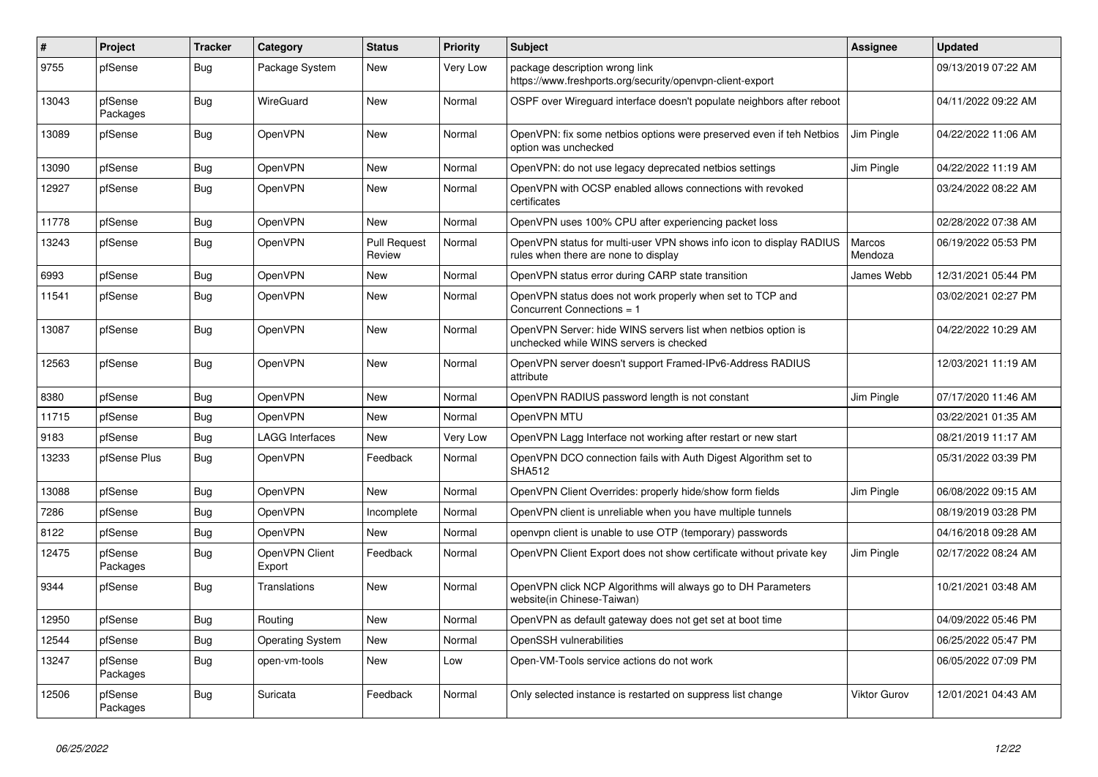| #     | Project             | <b>Tracker</b> | Category                 | <b>Status</b>                 | <b>Priority</b> | <b>Subject</b>                                                                                              | <b>Assignee</b>     | <b>Updated</b>      |
|-------|---------------------|----------------|--------------------------|-------------------------------|-----------------|-------------------------------------------------------------------------------------------------------------|---------------------|---------------------|
| 9755  | pfSense             | Bug            | Package System           | <b>New</b>                    | Very Low        | package description wrong link<br>https://www.freshports.org/security/openvpn-client-export                 |                     | 09/13/2019 07:22 AM |
| 13043 | pfSense<br>Packages | <b>Bug</b>     | WireGuard                | <b>New</b>                    | Normal          | OSPF over Wireguard interface doesn't populate neighbors after reboot                                       |                     | 04/11/2022 09:22 AM |
| 13089 | pfSense             | <b>Bug</b>     | OpenVPN                  | <b>New</b>                    | Normal          | OpenVPN: fix some netbios options were preserved even if teh Netbios<br>option was unchecked                | Jim Pingle          | 04/22/2022 11:06 AM |
| 13090 | pfSense             | Bug            | OpenVPN                  | <b>New</b>                    | Normal          | OpenVPN: do not use legacy deprecated netbios settings                                                      | Jim Pingle          | 04/22/2022 11:19 AM |
| 12927 | pfSense             | <b>Bug</b>     | OpenVPN                  | <b>New</b>                    | Normal          | OpenVPN with OCSP enabled allows connections with revoked<br>certificates                                   |                     | 03/24/2022 08:22 AM |
| 11778 | pfSense             | <b>Bug</b>     | <b>OpenVPN</b>           | <b>New</b>                    | Normal          | OpenVPN uses 100% CPU after experiencing packet loss                                                        |                     | 02/28/2022 07:38 AM |
| 13243 | pfSense             | Bug            | OpenVPN                  | <b>Pull Request</b><br>Review | Normal          | OpenVPN status for multi-user VPN shows info icon to display RADIUS<br>rules when there are none to display | Marcos<br>Mendoza   | 06/19/2022 05:53 PM |
| 6993  | pfSense             | <b>Bug</b>     | <b>OpenVPN</b>           | New                           | Normal          | OpenVPN status error during CARP state transition                                                           | James Webb          | 12/31/2021 05:44 PM |
| 11541 | pfSense             | <b>Bug</b>     | OpenVPN                  | <b>New</b>                    | Normal          | OpenVPN status does not work properly when set to TCP and<br>Concurrent Connections = 1                     |                     | 03/02/2021 02:27 PM |
| 13087 | pfSense             | <b>Bug</b>     | OpenVPN                  | <b>New</b>                    | Normal          | OpenVPN Server: hide WINS servers list when netbios option is<br>unchecked while WINS servers is checked    |                     | 04/22/2022 10:29 AM |
| 12563 | pfSense             | Bug            | OpenVPN                  | <b>New</b>                    | Normal          | OpenVPN server doesn't support Framed-IPv6-Address RADIUS<br>attribute                                      |                     | 12/03/2021 11:19 AM |
| 8380  | pfSense             | Bug            | OpenVPN                  | <b>New</b>                    | Normal          | OpenVPN RADIUS password length is not constant                                                              | Jim Pingle          | 07/17/2020 11:46 AM |
| 11715 | pfSense             | Bug            | OpenVPN                  | <b>New</b>                    | Normal          | OpenVPN MTU                                                                                                 |                     | 03/22/2021 01:35 AM |
| 9183  | pfSense             | Bug            | LAGG Interfaces          | New                           | Very Low        | OpenVPN Lagg Interface not working after restart or new start                                               |                     | 08/21/2019 11:17 AM |
| 13233 | pfSense Plus        | <b>Bug</b>     | OpenVPN                  | Feedback                      | Normal          | OpenVPN DCO connection fails with Auth Digest Algorithm set to<br><b>SHA512</b>                             |                     | 05/31/2022 03:39 PM |
| 13088 | pfSense             | Bug            | OpenVPN                  | <b>New</b>                    | Normal          | OpenVPN Client Overrides: properly hide/show form fields                                                    | Jim Pingle          | 06/08/2022 09:15 AM |
| 7286  | pfSense             | Bug            | OpenVPN                  | Incomplete                    | Normal          | OpenVPN client is unreliable when you have multiple tunnels                                                 |                     | 08/19/2019 03:28 PM |
| 8122  | pfSense             | <b>Bug</b>     | OpenVPN                  | <b>New</b>                    | Normal          | openvpn client is unable to use OTP (temporary) passwords                                                   |                     | 04/16/2018 09:28 AM |
| 12475 | pfSense<br>Packages | Bug            | OpenVPN Client<br>Export | Feedback                      | Normal          | OpenVPN Client Export does not show certificate without private key                                         | Jim Pingle          | 02/17/2022 08:24 AM |
| 9344  | pfSense             | Bug            | Translations             | <b>New</b>                    | Normal          | OpenVPN click NCP Algorithms will always go to DH Parameters<br>website(in Chinese-Taiwan)                  |                     | 10/21/2021 03:48 AM |
| 12950 | pfSense             | <b>Bug</b>     | Routing                  | <b>New</b>                    | Normal          | OpenVPN as default gateway does not get set at boot time                                                    |                     | 04/09/2022 05:46 PM |
| 12544 | pfSense             | <b>Bug</b>     | <b>Operating System</b>  | <b>New</b>                    | Normal          | OpenSSH vulnerabilities                                                                                     |                     | 06/25/2022 05:47 PM |
| 13247 | pfSense<br>Packages | <b>Bug</b>     | open-vm-tools            | <b>New</b>                    | Low             | Open-VM-Tools service actions do not work                                                                   |                     | 06/05/2022 07:09 PM |
| 12506 | pfSense<br>Packages | Bug            | Suricata                 | Feedback                      | Normal          | Only selected instance is restarted on suppress list change                                                 | <b>Viktor Gurov</b> | 12/01/2021 04:43 AM |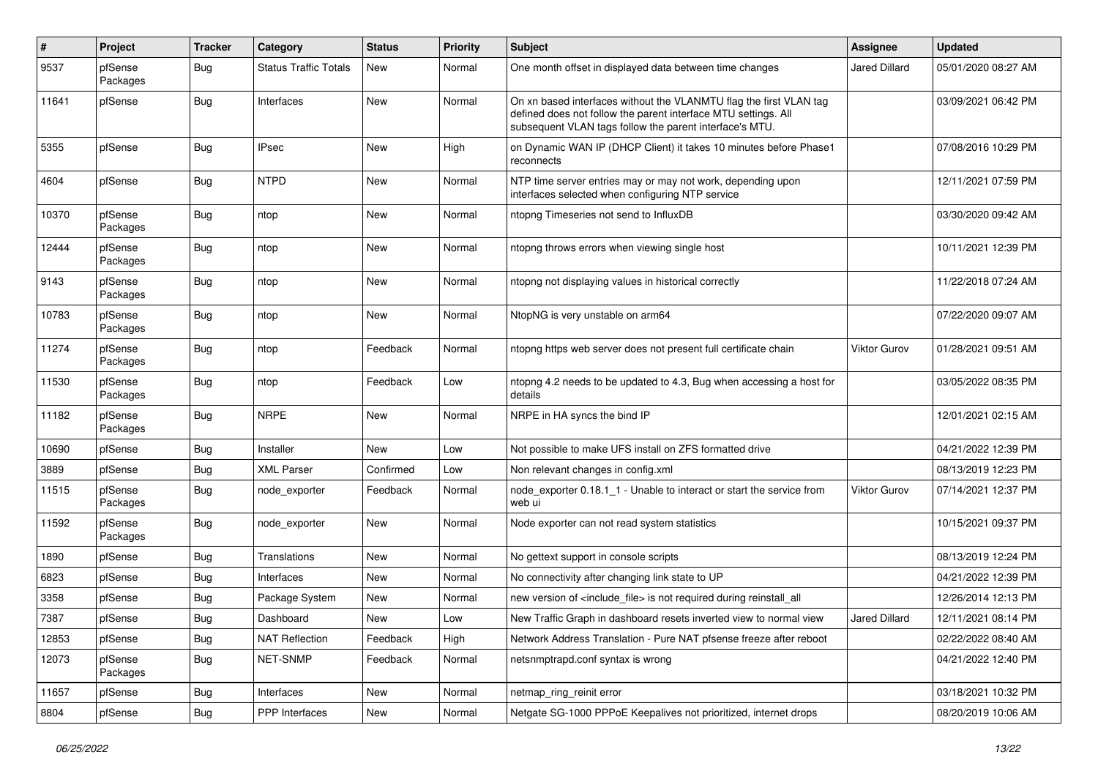| #     | Project             | <b>Tracker</b>   | Category                     | <b>Status</b> | <b>Priority</b> | Subject                                                                                                                                                                                         | <b>Assignee</b> | <b>Updated</b>      |
|-------|---------------------|------------------|------------------------------|---------------|-----------------|-------------------------------------------------------------------------------------------------------------------------------------------------------------------------------------------------|-----------------|---------------------|
| 9537  | pfSense<br>Packages | Bug              | <b>Status Traffic Totals</b> | New           | Normal          | One month offset in displayed data between time changes                                                                                                                                         | Jared Dillard   | 05/01/2020 08:27 AM |
| 11641 | pfSense             | Bug              | Interfaces                   | <b>New</b>    | Normal          | On xn based interfaces without the VLANMTU flag the first VLAN tag<br>defined does not follow the parent interface MTU settings. All<br>subsequent VLAN tags follow the parent interface's MTU. |                 | 03/09/2021 06:42 PM |
| 5355  | pfSense             | <b>Bug</b>       | <b>IPsec</b>                 | <b>New</b>    | High            | on Dynamic WAN IP (DHCP Client) it takes 10 minutes before Phase1<br>reconnects                                                                                                                 |                 | 07/08/2016 10:29 PM |
| 4604  | pfSense             | <b>Bug</b>       | <b>NTPD</b>                  | <b>New</b>    | Normal          | NTP time server entries may or may not work, depending upon<br>interfaces selected when configuring NTP service                                                                                 |                 | 12/11/2021 07:59 PM |
| 10370 | pfSense<br>Packages | Bug              | ntop                         | New           | Normal          | ntopng Timeseries not send to InfluxDB                                                                                                                                                          |                 | 03/30/2020 09:42 AM |
| 12444 | pfSense<br>Packages | Bug              | ntop                         | <b>New</b>    | Normal          | ntopng throws errors when viewing single host                                                                                                                                                   |                 | 10/11/2021 12:39 PM |
| 9143  | pfSense<br>Packages | Bug              | ntop                         | New           | Normal          | ntopng not displaying values in historical correctly                                                                                                                                            |                 | 11/22/2018 07:24 AM |
| 10783 | pfSense<br>Packages | Bug              | ntop                         | <b>New</b>    | Normal          | NtopNG is very unstable on arm64                                                                                                                                                                |                 | 07/22/2020 09:07 AM |
| 11274 | pfSense<br>Packages | Bug              | ntop                         | Feedback      | Normal          | ntopng https web server does not present full certificate chain                                                                                                                                 | Viktor Gurov    | 01/28/2021 09:51 AM |
| 11530 | pfSense<br>Packages | <b>Bug</b>       | ntop                         | Feedback      | Low             | ntopng 4.2 needs to be updated to 4.3, Bug when accessing a host for<br>details                                                                                                                 |                 | 03/05/2022 08:35 PM |
| 11182 | pfSense<br>Packages | Bug              | <b>NRPE</b>                  | <b>New</b>    | Normal          | NRPE in HA syncs the bind IP                                                                                                                                                                    |                 | 12/01/2021 02:15 AM |
| 10690 | pfSense             | Bug              | Installer                    | <b>New</b>    | Low             | Not possible to make UFS install on ZFS formatted drive                                                                                                                                         |                 | 04/21/2022 12:39 PM |
| 3889  | pfSense             | <b>Bug</b>       | <b>XML Parser</b>            | Confirmed     | Low             | Non relevant changes in config.xml                                                                                                                                                              |                 | 08/13/2019 12:23 PM |
| 11515 | pfSense<br>Packages | <b>Bug</b>       | node exporter                | Feedback      | Normal          | node_exporter 0.18.1_1 - Unable to interact or start the service from<br>web ui                                                                                                                 | Viktor Gurov    | 07/14/2021 12:37 PM |
| 11592 | pfSense<br>Packages | Bug              | node_exporter                | <b>New</b>    | Normal          | Node exporter can not read system statistics                                                                                                                                                    |                 | 10/15/2021 09:37 PM |
| 1890  | pfSense             | <b>Bug</b>       | Translations                 | New           | Normal          | No gettext support in console scripts                                                                                                                                                           |                 | 08/13/2019 12:24 PM |
| 6823  | pfSense             | <b>Bug</b>       | Interfaces                   | New           | Normal          | No connectivity after changing link state to UP                                                                                                                                                 |                 | 04/21/2022 12:39 PM |
| 3358  | pfSense             | <b>Bug</b>       | Package System               | New           | Normal          | new version of <include_file> is not required during reinstall_all</include_file>                                                                                                               |                 | 12/26/2014 12:13 PM |
| 7387  | pfSense             | <sub>I</sub> Bug | Dashboard                    | New           | Low             | New Traffic Graph in dashboard resets inverted view to normal view                                                                                                                              | Jared Dillard   | 12/11/2021 08:14 PM |
| 12853 | pfSense             | Bug              | <b>NAT Reflection</b>        | Feedback      | High            | Network Address Translation - Pure NAT pfsense freeze after reboot                                                                                                                              |                 | 02/22/2022 08:40 AM |
| 12073 | pfSense<br>Packages | <b>Bug</b>       | NET-SNMP                     | Feedback      | Normal          | netsnmptrapd.conf syntax is wrong                                                                                                                                                               |                 | 04/21/2022 12:40 PM |
| 11657 | pfSense             | <b>Bug</b>       | Interfaces                   | New           | Normal          | netmap_ring_reinit error                                                                                                                                                                        |                 | 03/18/2021 10:32 PM |
| 8804  | pfSense             | <b>Bug</b>       | PPP Interfaces               | New           | Normal          | Netgate SG-1000 PPPoE Keepalives not prioritized, internet drops                                                                                                                                |                 | 08/20/2019 10:06 AM |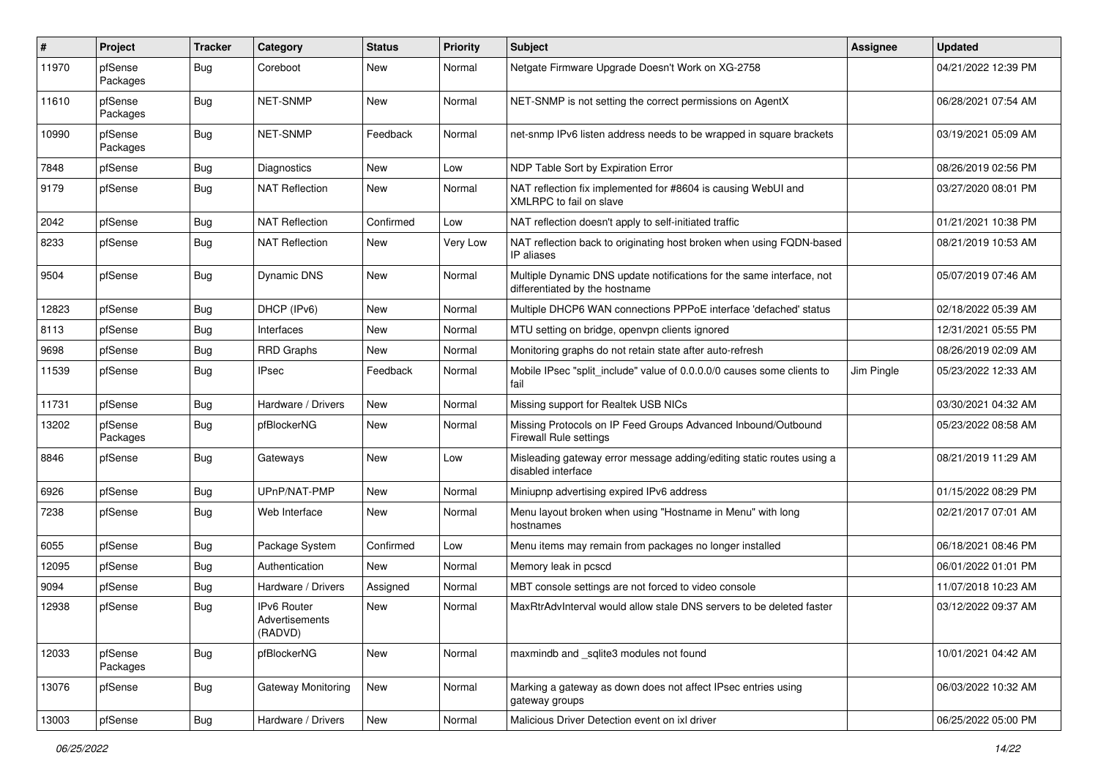| #     | Project             | <b>Tracker</b> | Category                                        | <b>Status</b> | <b>Priority</b> | Subject                                                                                                 | <b>Assignee</b> | <b>Updated</b>      |
|-------|---------------------|----------------|-------------------------------------------------|---------------|-----------------|---------------------------------------------------------------------------------------------------------|-----------------|---------------------|
| 11970 | pfSense<br>Packages | Bug            | Coreboot                                        | New           | Normal          | Netgate Firmware Upgrade Doesn't Work on XG-2758                                                        |                 | 04/21/2022 12:39 PM |
| 11610 | pfSense<br>Packages | Bug            | NET-SNMP                                        | <b>New</b>    | Normal          | NET-SNMP is not setting the correct permissions on AgentX                                               |                 | 06/28/2021 07:54 AM |
| 10990 | pfSense<br>Packages | Bug            | <b>NET-SNMP</b>                                 | Feedback      | Normal          | net-snmp IPv6 listen address needs to be wrapped in square brackets                                     |                 | 03/19/2021 05:09 AM |
| 7848  | pfSense             | Bug            | Diagnostics                                     | <b>New</b>    | Low             | NDP Table Sort by Expiration Error                                                                      |                 | 08/26/2019 02:56 PM |
| 9179  | pfSense             | Bug            | <b>NAT Reflection</b>                           | New           | Normal          | NAT reflection fix implemented for #8604 is causing WebUI and<br>XMLRPC to fail on slave                |                 | 03/27/2020 08:01 PM |
| 2042  | pfSense             | <b>Bug</b>     | <b>NAT Reflection</b>                           | Confirmed     | Low             | NAT reflection doesn't apply to self-initiated traffic                                                  |                 | 01/21/2021 10:38 PM |
| 8233  | pfSense             | Bug            | <b>NAT Reflection</b>                           | New           | Very Low        | NAT reflection back to originating host broken when using FQDN-based<br>IP aliases                      |                 | 08/21/2019 10:53 AM |
| 9504  | pfSense             | <b>Bug</b>     | <b>Dynamic DNS</b>                              | <b>New</b>    | Normal          | Multiple Dynamic DNS update notifications for the same interface, not<br>differentiated by the hostname |                 | 05/07/2019 07:46 AM |
| 12823 | pfSense             | Bug            | DHCP (IPv6)                                     | New           | Normal          | Multiple DHCP6 WAN connections PPPoE interface 'defached' status                                        |                 | 02/18/2022 05:39 AM |
| 8113  | pfSense             | <b>Bug</b>     | Interfaces                                      | New           | Normal          | MTU setting on bridge, openvpn clients ignored                                                          |                 | 12/31/2021 05:55 PM |
| 9698  | pfSense             | <b>Bug</b>     | <b>RRD Graphs</b>                               | New           | Normal          | Monitoring graphs do not retain state after auto-refresh                                                |                 | 08/26/2019 02:09 AM |
| 11539 | pfSense             | Bug            | IPsec                                           | Feedback      | Normal          | Mobile IPsec "split_include" value of 0.0.0.0/0 causes some clients to<br>fail                          | Jim Pingle      | 05/23/2022 12:33 AM |
| 11731 | pfSense             | Bug            | Hardware / Drivers                              | <b>New</b>    | Normal          | Missing support for Realtek USB NICs                                                                    |                 | 03/30/2021 04:32 AM |
| 13202 | pfSense<br>Packages | Bug            | pfBlockerNG                                     | <b>New</b>    | Normal          | Missing Protocols on IP Feed Groups Advanced Inbound/Outbound<br>Firewall Rule settings                 |                 | 05/23/2022 08:58 AM |
| 8846  | pfSense             | Bug            | Gateways                                        | New           | Low             | Misleading gateway error message adding/editing static routes using a<br>disabled interface             |                 | 08/21/2019 11:29 AM |
| 6926  | pfSense             | <b>Bug</b>     | UPnP/NAT-PMP                                    | <b>New</b>    | Normal          | Miniupnp advertising expired IPv6 address                                                               |                 | 01/15/2022 08:29 PM |
| 7238  | pfSense             | Bug            | Web Interface                                   | New           | Normal          | Menu layout broken when using "Hostname in Menu" with long<br>hostnames                                 |                 | 02/21/2017 07:01 AM |
| 6055  | pfSense             | <b>Bug</b>     | Package System                                  | Confirmed     | Low             | Menu items may remain from packages no longer installed                                                 |                 | 06/18/2021 08:46 PM |
| 12095 | pfSense             | <b>Bug</b>     | Authentication                                  | New           | Normal          | Memory leak in pcscd                                                                                    |                 | 06/01/2022 01:01 PM |
| 9094  | pfSense             | <b>Bug</b>     | Hardware / Drivers                              | Assigned      | Normal          | MBT console settings are not forced to video console                                                    |                 | 11/07/2018 10:23 AM |
| 12938 | pfSense             | <b>Bug</b>     | <b>IPv6 Router</b><br>Advertisements<br>(RADVD) | New           | Normal          | MaxRtrAdvInterval would allow stale DNS servers to be deleted faster                                    |                 | 03/12/2022 09:37 AM |
| 12033 | pfSense<br>Packages | <b>Bug</b>     | pfBlockerNG                                     | New           | Normal          | maxmindb and sqlite3 modules not found                                                                  |                 | 10/01/2021 04:42 AM |
| 13076 | pfSense             | Bug            | Gateway Monitoring                              | New           | Normal          | Marking a gateway as down does not affect IPsec entries using<br>gateway groups                         |                 | 06/03/2022 10:32 AM |
| 13003 | pfSense             | <b>Bug</b>     | Hardware / Drivers                              | New           | Normal          | Malicious Driver Detection event on ixl driver                                                          |                 | 06/25/2022 05:00 PM |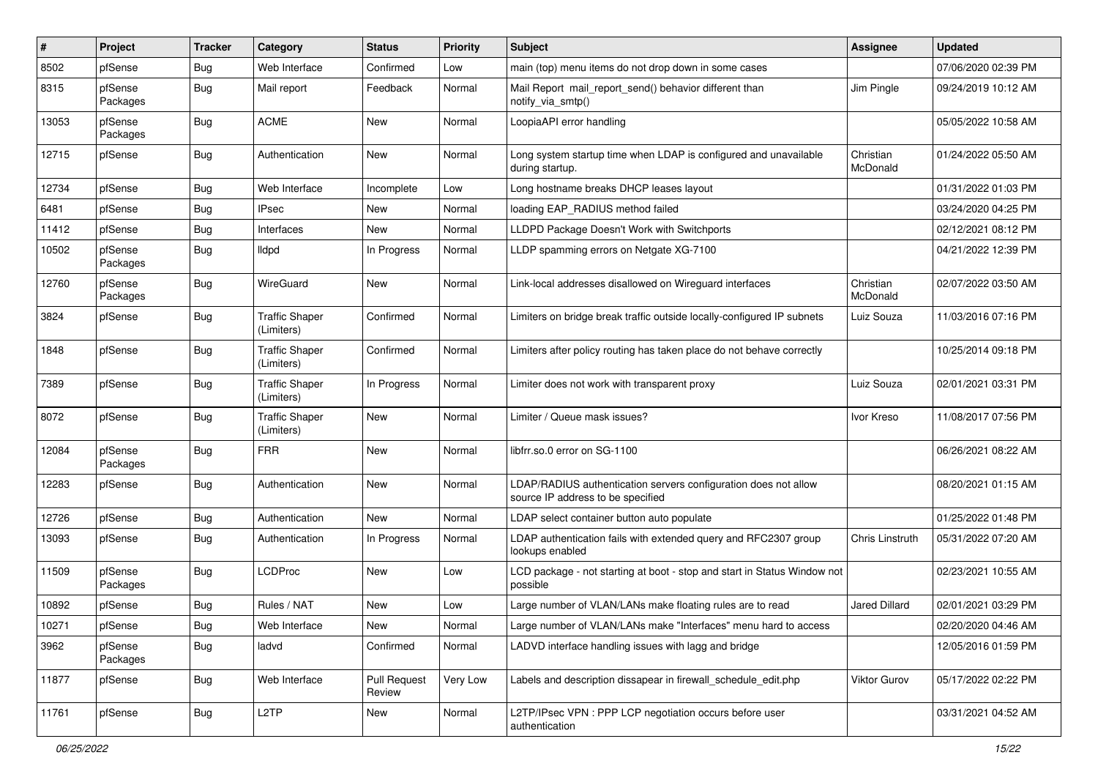| #     | Project             | <b>Tracker</b> | Category                            | <b>Status</b>                 | <b>Priority</b> | Subject                                                                                              | <b>Assignee</b>       | <b>Updated</b>      |
|-------|---------------------|----------------|-------------------------------------|-------------------------------|-----------------|------------------------------------------------------------------------------------------------------|-----------------------|---------------------|
| 8502  | pfSense             | <b>Bug</b>     | Web Interface                       | Confirmed                     | Low             | main (top) menu items do not drop down in some cases                                                 |                       | 07/06/2020 02:39 PM |
| 8315  | pfSense<br>Packages | Bug            | Mail report                         | Feedback                      | Normal          | Mail Report mail_report_send() behavior different than<br>notify via smtp()                          | Jim Pingle            | 09/24/2019 10:12 AM |
| 13053 | pfSense<br>Packages | Bug            | <b>ACME</b>                         | <b>New</b>                    | Normal          | LoopiaAPI error handling                                                                             |                       | 05/05/2022 10:58 AM |
| 12715 | pfSense             | <b>Bug</b>     | Authentication                      | <b>New</b>                    | Normal          | Long system startup time when LDAP is configured and unavailable<br>during startup.                  | Christian<br>McDonald | 01/24/2022 05:50 AM |
| 12734 | pfSense             | <b>Bug</b>     | Web Interface                       | Incomplete                    | Low             | Long hostname breaks DHCP leases layout                                                              |                       | 01/31/2022 01:03 PM |
| 6481  | pfSense             | Bug            | <b>IPsec</b>                        | New                           | Normal          | loading EAP_RADIUS method failed                                                                     |                       | 03/24/2020 04:25 PM |
| 11412 | pfSense             | Bug            | Interfaces                          | New                           | Normal          | LLDPD Package Doesn't Work with Switchports                                                          |                       | 02/12/2021 08:12 PM |
| 10502 | pfSense<br>Packages | Bug            | lldpd                               | In Progress                   | Normal          | LLDP spamming errors on Netgate XG-7100                                                              |                       | 04/21/2022 12:39 PM |
| 12760 | pfSense<br>Packages | Bug            | WireGuard                           | <b>New</b>                    | Normal          | Link-local addresses disallowed on Wireguard interfaces                                              | Christian<br>McDonald | 02/07/2022 03:50 AM |
| 3824  | pfSense             | Bug            | <b>Traffic Shaper</b><br>(Limiters) | Confirmed                     | Normal          | Limiters on bridge break traffic outside locally-configured IP subnets                               | Luiz Souza            | 11/03/2016 07:16 PM |
| 1848  | pfSense             | Bug            | <b>Traffic Shaper</b><br>(Limiters) | Confirmed                     | Normal          | Limiters after policy routing has taken place do not behave correctly                                |                       | 10/25/2014 09:18 PM |
| 7389  | pfSense             | <b>Bug</b>     | <b>Traffic Shaper</b><br>(Limiters) | In Progress                   | Normal          | Limiter does not work with transparent proxy                                                         | Luiz Souza            | 02/01/2021 03:31 PM |
| 8072  | pfSense             | Bug            | <b>Traffic Shaper</b><br>(Limiters) | <b>New</b>                    | Normal          | Limiter / Queue mask issues?                                                                         | Ivor Kreso            | 11/08/2017 07:56 PM |
| 12084 | pfSense<br>Packages | Bug            | <b>FRR</b>                          | <b>New</b>                    | Normal          | libfrr.so.0 error on SG-1100                                                                         |                       | 06/26/2021 08:22 AM |
| 12283 | pfSense             | <b>Bug</b>     | Authentication                      | <b>New</b>                    | Normal          | LDAP/RADIUS authentication servers configuration does not allow<br>source IP address to be specified |                       | 08/20/2021 01:15 AM |
| 12726 | pfSense             | <b>Bug</b>     | Authentication                      | <b>New</b>                    | Normal          | LDAP select container button auto populate                                                           |                       | 01/25/2022 01:48 PM |
| 13093 | pfSense             | <b>Bug</b>     | Authentication                      | In Progress                   | Normal          | LDAP authentication fails with extended query and RFC2307 group<br>lookups enabled                   | Chris Linstruth       | 05/31/2022 07:20 AM |
| 11509 | pfSense<br>Packages | <b>Bug</b>     | <b>LCDProc</b>                      | New                           | Low             | LCD package - not starting at boot - stop and start in Status Window not<br>possible                 |                       | 02/23/2021 10:55 AM |
| 10892 | pfSense             | Bug            | Rules / NAT                         | <b>New</b>                    | Low             | Large number of VLAN/LANs make floating rules are to read                                            | <b>Jared Dillard</b>  | 02/01/2021 03:29 PM |
| 10271 | pfSense             | Bug            | Web Interface                       | New                           | Normal          | Large number of VLAN/LANs make "Interfaces" menu hard to access                                      |                       | 02/20/2020 04:46 AM |
| 3962  | pfSense<br>Packages | <b>Bug</b>     | ladvd                               | Confirmed                     | Normal          | LADVD interface handling issues with lagg and bridge                                                 |                       | 12/05/2016 01:59 PM |
| 11877 | pfSense             | <b>Bug</b>     | Web Interface                       | <b>Pull Request</b><br>Review | Very Low        | Labels and description dissapear in firewall_schedule_edit.php                                       | Viktor Gurov          | 05/17/2022 02:22 PM |
| 11761 | pfSense             | <b>Bug</b>     | L <sub>2</sub> TP                   | New                           | Normal          | L2TP/IPsec VPN : PPP LCP negotiation occurs before user<br>authentication                            |                       | 03/31/2021 04:52 AM |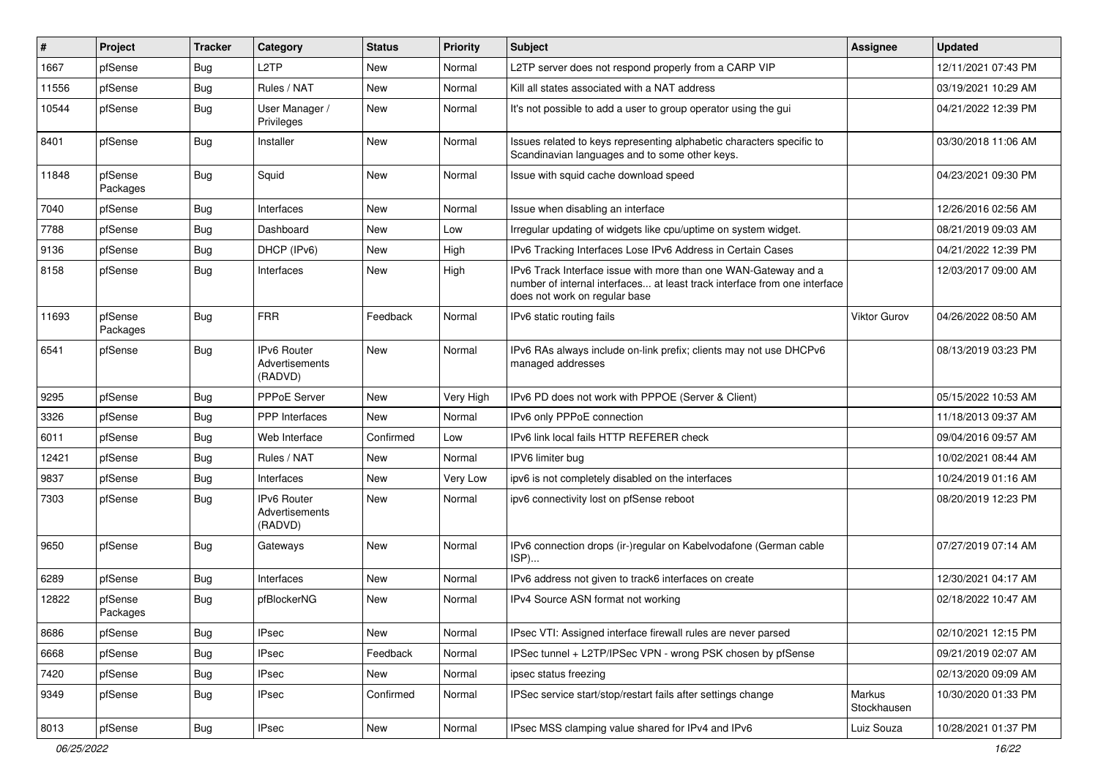| $\vert$ # | Project             | <b>Tracker</b> | Category                                        | <b>Status</b> | <b>Priority</b> | Subject                                                                                                                                                                       | <b>Assignee</b>       | <b>Updated</b>      |
|-----------|---------------------|----------------|-------------------------------------------------|---------------|-----------------|-------------------------------------------------------------------------------------------------------------------------------------------------------------------------------|-----------------------|---------------------|
| 1667      | pfSense             | <b>Bug</b>     | L <sub>2</sub> TP                               | <b>New</b>    | Normal          | L2TP server does not respond properly from a CARP VIP                                                                                                                         |                       | 12/11/2021 07:43 PM |
| 11556     | pfSense             | <b>Bug</b>     | Rules / NAT                                     | <b>New</b>    | Normal          | Kill all states associated with a NAT address                                                                                                                                 |                       | 03/19/2021 10:29 AM |
| 10544     | pfSense             | <b>Bug</b>     | User Manager /<br>Privileges                    | <b>New</b>    | Normal          | It's not possible to add a user to group operator using the gui                                                                                                               |                       | 04/21/2022 12:39 PM |
| 8401      | pfSense             | Bug            | Installer                                       | New           | Normal          | Issues related to keys representing alphabetic characters specific to<br>Scandinavian languages and to some other keys.                                                       |                       | 03/30/2018 11:06 AM |
| 11848     | pfSense<br>Packages | <b>Bug</b>     | Squid                                           | <b>New</b>    | Normal          | Issue with squid cache download speed                                                                                                                                         |                       | 04/23/2021 09:30 PM |
| 7040      | pfSense             | <b>Bug</b>     | Interfaces                                      | <b>New</b>    | Normal          | Issue when disabling an interface                                                                                                                                             |                       | 12/26/2016 02:56 AM |
| 7788      | pfSense             | <b>Bug</b>     | Dashboard                                       | <b>New</b>    | Low             | Irregular updating of widgets like cpu/uptime on system widget.                                                                                                               |                       | 08/21/2019 09:03 AM |
| 9136      | pfSense             | <b>Bug</b>     | DHCP (IPv6)                                     | New           | High            | IPv6 Tracking Interfaces Lose IPv6 Address in Certain Cases                                                                                                                   |                       | 04/21/2022 12:39 PM |
| 8158      | pfSense             | Bug            | Interfaces                                      | New           | High            | IPv6 Track Interface issue with more than one WAN-Gateway and a<br>number of internal interfaces at least track interface from one interface<br>does not work on regular base |                       | 12/03/2017 09:00 AM |
| 11693     | pfSense<br>Packages | Bug            | <b>FRR</b>                                      | Feedback      | Normal          | IPv6 static routing fails                                                                                                                                                     | <b>Viktor Gurov</b>   | 04/26/2022 08:50 AM |
| 6541      | pfSense             | <b>Bug</b>     | <b>IPv6 Router</b><br>Advertisements<br>(RADVD) | <b>New</b>    | Normal          | IPv6 RAs always include on-link prefix; clients may not use DHCPv6<br>managed addresses                                                                                       |                       | 08/13/2019 03:23 PM |
| 9295      | pfSense             | <b>Bug</b>     | PPPoE Server                                    | <b>New</b>    | Very High       | IPv6 PD does not work with PPPOE (Server & Client)                                                                                                                            |                       | 05/15/2022 10:53 AM |
| 3326      | pfSense             | Bug            | <b>PPP</b> Interfaces                           | <b>New</b>    | Normal          | IPv6 only PPPoE connection                                                                                                                                                    |                       | 11/18/2013 09:37 AM |
| 6011      | pfSense             | <b>Bug</b>     | Web Interface                                   | Confirmed     | Low             | IPv6 link local fails HTTP REFERER check                                                                                                                                      |                       | 09/04/2016 09:57 AM |
| 12421     | pfSense             | Bug            | Rules / NAT                                     | <b>New</b>    | Normal          | IPV6 limiter bug                                                                                                                                                              |                       | 10/02/2021 08:44 AM |
| 9837      | pfSense             | <b>Bug</b>     | Interfaces                                      | <b>New</b>    | Very Low        | ipv6 is not completely disabled on the interfaces                                                                                                                             |                       | 10/24/2019 01:16 AM |
| 7303      | pfSense             | <b>Bug</b>     | <b>IPv6 Router</b><br>Advertisements<br>(RADVD) | <b>New</b>    | Normal          | ipv6 connectivity lost on pfSense reboot                                                                                                                                      |                       | 08/20/2019 12:23 PM |
| 9650      | pfSense             | Bug            | Gateways                                        | <b>New</b>    | Normal          | IPv6 connection drops (ir-)regular on Kabelvodafone (German cable<br>ISP)                                                                                                     |                       | 07/27/2019 07:14 AM |
| 6289      | pfSense             | <b>Bug</b>     | Interfaces                                      | <b>New</b>    | Normal          | IPv6 address not given to track6 interfaces on create                                                                                                                         |                       | 12/30/2021 04:17 AM |
| 12822     | pfSense<br>Packages | <b>Bug</b>     | pfBlockerNG                                     | <b>New</b>    | Normal          | IPv4 Source ASN format not working                                                                                                                                            |                       | 02/18/2022 10:47 AM |
| 8686      | pfSense             | <b>Bug</b>     | <b>IPsec</b>                                    | New           | Normal          | IPsec VTI: Assigned interface firewall rules are never parsed                                                                                                                 |                       | 02/10/2021 12:15 PM |
| 6668      | pfSense             | <b>Bug</b>     | <b>IPsec</b>                                    | Feedback      | Normal          | IPSec tunnel + L2TP/IPSec VPN - wrong PSK chosen by pfSense                                                                                                                   |                       | 09/21/2019 02:07 AM |
| 7420      | pfSense             | <b>Bug</b>     | <b>IPsec</b>                                    | New           | Normal          | ipsec status freezing                                                                                                                                                         |                       | 02/13/2020 09:09 AM |
| 9349      | pfSense             | Bug            | <b>IPsec</b>                                    | Confirmed     | Normal          | IPSec service start/stop/restart fails after settings change                                                                                                                  | Markus<br>Stockhausen | 10/30/2020 01:33 PM |
| 8013      | pfSense             | <b>Bug</b>     | <b>IPsec</b>                                    | New           | Normal          | IPsec MSS clamping value shared for IPv4 and IPv6                                                                                                                             | Luiz Souza            | 10/28/2021 01:37 PM |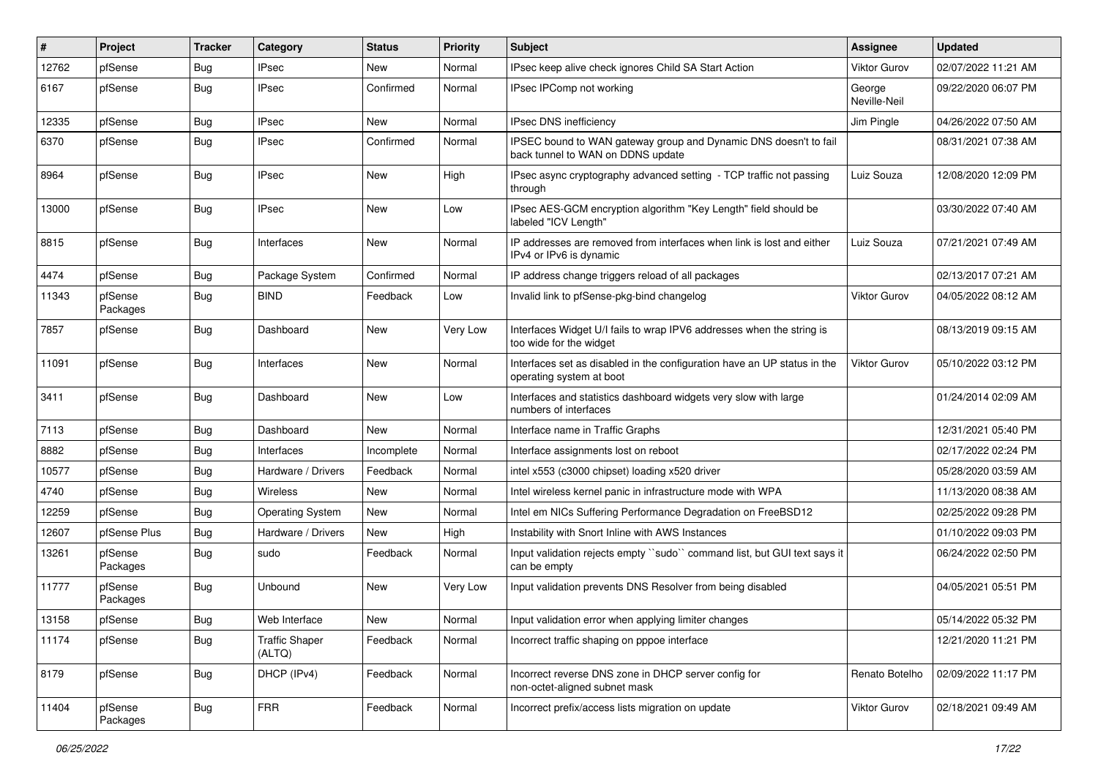| ∦     | Project             | <b>Tracker</b> | Category                        | <b>Status</b> | <b>Priority</b> | <b>Subject</b>                                                                                        | <b>Assignee</b>        | <b>Updated</b>      |
|-------|---------------------|----------------|---------------------------------|---------------|-----------------|-------------------------------------------------------------------------------------------------------|------------------------|---------------------|
| 12762 | pfSense             | <b>Bug</b>     | IPsec                           | New           | Normal          | IPsec keep alive check ignores Child SA Start Action                                                  | Viktor Gurov           | 02/07/2022 11:21 AM |
| 6167  | pfSense             | <b>Bug</b>     | IPsec                           | Confirmed     | Normal          | IPsec IPComp not working                                                                              | George<br>Neville-Neil | 09/22/2020 06:07 PM |
| 12335 | pfSense             | <b>Bug</b>     | <b>IPsec</b>                    | <b>New</b>    | Normal          | IPsec DNS inefficiency                                                                                | Jim Pingle             | 04/26/2022 07:50 AM |
| 6370  | pfSense             | <b>Bug</b>     | <b>IPsec</b>                    | Confirmed     | Normal          | IPSEC bound to WAN gateway group and Dynamic DNS doesn't to fail<br>back tunnel to WAN on DDNS update |                        | 08/31/2021 07:38 AM |
| 8964  | pfSense             | <b>Bug</b>     | IPsec                           | <b>New</b>    | High            | IPsec async cryptography advanced setting - TCP traffic not passing<br>through                        | Luiz Souza             | 12/08/2020 12:09 PM |
| 13000 | pfSense             | <b>Bug</b>     | <b>IPsec</b>                    | <b>New</b>    | Low             | IPsec AES-GCM encryption algorithm "Key Length" field should be<br>labeled "ICV Length"               |                        | 03/30/2022 07:40 AM |
| 8815  | pfSense             | <b>Bug</b>     | Interfaces                      | <b>New</b>    | Normal          | IP addresses are removed from interfaces when link is lost and either<br>IPv4 or IPv6 is dynamic      | Luiz Souza             | 07/21/2021 07:49 AM |
| 4474  | pfSense             | <b>Bug</b>     | Package System                  | Confirmed     | Normal          | IP address change triggers reload of all packages                                                     |                        | 02/13/2017 07:21 AM |
| 11343 | pfSense<br>Packages | <b>Bug</b>     | <b>BIND</b>                     | Feedback      | Low             | Invalid link to pfSense-pkg-bind changelog                                                            | <b>Viktor Gurov</b>    | 04/05/2022 08:12 AM |
| 7857  | pfSense             | <b>Bug</b>     | Dashboard                       | New           | Very Low        | Interfaces Widget U/I fails to wrap IPV6 addresses when the string is<br>too wide for the widget      |                        | 08/13/2019 09:15 AM |
| 11091 | pfSense             | <b>Bug</b>     | Interfaces                      | <b>New</b>    | Normal          | Interfaces set as disabled in the configuration have an UP status in the<br>operating system at boot  | <b>Viktor Gurov</b>    | 05/10/2022 03:12 PM |
| 3411  | pfSense             | <b>Bug</b>     | Dashboard                       | <b>New</b>    | Low             | Interfaces and statistics dashboard widgets very slow with large<br>numbers of interfaces             |                        | 01/24/2014 02:09 AM |
| 7113  | pfSense             | <b>Bug</b>     | Dashboard                       | <b>New</b>    | Normal          | Interface name in Traffic Graphs                                                                      |                        | 12/31/2021 05:40 PM |
| 8882  | pfSense             | <b>Bug</b>     | Interfaces                      | Incomplete    | Normal          | Interface assignments lost on reboot                                                                  |                        | 02/17/2022 02:24 PM |
| 10577 | pfSense             | <b>Bug</b>     | Hardware / Drivers              | Feedback      | Normal          | intel x553 (c3000 chipset) loading x520 driver                                                        |                        | 05/28/2020 03:59 AM |
| 4740  | pfSense             | <b>Bug</b>     | <b>Wireless</b>                 | New           | Normal          | Intel wireless kernel panic in infrastructure mode with WPA                                           |                        | 11/13/2020 08:38 AM |
| 12259 | pfSense             | <b>Bug</b>     | <b>Operating System</b>         | <b>New</b>    | Normal          | Intel em NICs Suffering Performance Degradation on FreeBSD12                                          |                        | 02/25/2022 09:28 PM |
| 12607 | pfSense Plus        | <b>Bug</b>     | Hardware / Drivers              | <b>New</b>    | High            | Instability with Snort Inline with AWS Instances                                                      |                        | 01/10/2022 09:03 PM |
| 13261 | pfSense<br>Packages | <b>Bug</b>     | sudo                            | Feedback      | Normal          | Input validation rejects empty "sudo" command list, but GUI text says it<br>can be empty              |                        | 06/24/2022 02:50 PM |
| 11777 | pfSense<br>Packages | <b>Bug</b>     | Unbound                         | <b>New</b>    | Very Low        | Input validation prevents DNS Resolver from being disabled                                            |                        | 04/05/2021 05:51 PM |
| 13158 | pfSense             | <b>Bug</b>     | Web Interface                   | New           | Normal          | Input validation error when applying limiter changes                                                  |                        | 05/14/2022 05:32 PM |
| 11174 | pfSense             | <b>Bug</b>     | <b>Traffic Shaper</b><br>(ALTQ) | Feedback      | Normal          | Incorrect traffic shaping on pppoe interface                                                          |                        | 12/21/2020 11:21 PM |
| 8179  | pfSense             | <b>Bug</b>     | DHCP (IPv4)                     | Feedback      | Normal          | Incorrect reverse DNS zone in DHCP server config for<br>non-octet-aligned subnet mask                 | Renato Botelho         | 02/09/2022 11:17 PM |
| 11404 | pfSense<br>Packages | <b>Bug</b>     | <b>FRR</b>                      | Feedback      | Normal          | Incorrect prefix/access lists migration on update                                                     | Viktor Gurov           | 02/18/2021 09:49 AM |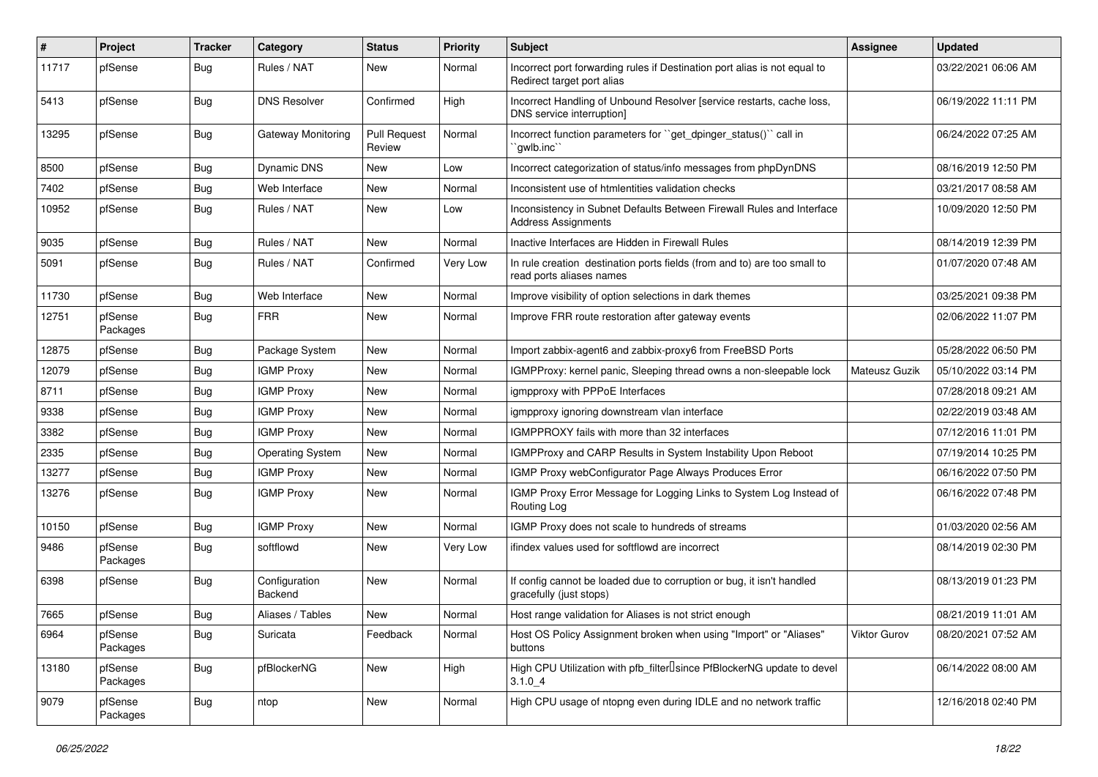| $\vert$ # | Project             | <b>Tracker</b> | Category                        | <b>Status</b>                 | <b>Priority</b> | <b>Subject</b>                                                                                          | Assignee      | <b>Updated</b>      |
|-----------|---------------------|----------------|---------------------------------|-------------------------------|-----------------|---------------------------------------------------------------------------------------------------------|---------------|---------------------|
| 11717     | pfSense             | Bug            | Rules / NAT                     | New                           | Normal          | Incorrect port forwarding rules if Destination port alias is not equal to<br>Redirect target port alias |               | 03/22/2021 06:06 AM |
| 5413      | pfSense             | Bug            | <b>DNS Resolver</b>             | Confirmed                     | High            | Incorrect Handling of Unbound Resolver [service restarts, cache loss,<br>DNS service interruption]      |               | 06/19/2022 11:11 PM |
| 13295     | pfSense             | <b>Bug</b>     | <b>Gateway Monitoring</b>       | <b>Pull Request</b><br>Review | Normal          | Incorrect function parameters for "get_dpinger_status()" call in<br>`qwlb.inc``                         |               | 06/24/2022 07:25 AM |
| 8500      | pfSense             | Bug            | Dynamic DNS                     | New                           | Low             | Incorrect categorization of status/info messages from phpDynDNS                                         |               | 08/16/2019 12:50 PM |
| 7402      | pfSense             | Bug            | Web Interface                   | New                           | Normal          | Inconsistent use of htmlentities validation checks                                                      |               | 03/21/2017 08:58 AM |
| 10952     | pfSense             | Bug            | Rules / NAT                     | New                           | Low             | Inconsistency in Subnet Defaults Between Firewall Rules and Interface<br><b>Address Assignments</b>     |               | 10/09/2020 12:50 PM |
| 9035      | pfSense             | Bug            | Rules / NAT                     | <b>New</b>                    | Normal          | Inactive Interfaces are Hidden in Firewall Rules                                                        |               | 08/14/2019 12:39 PM |
| 5091      | pfSense             | <b>Bug</b>     | Rules / NAT                     | Confirmed                     | Very Low        | In rule creation destination ports fields (from and to) are too small to<br>read ports aliases names    |               | 01/07/2020 07:48 AM |
| 11730     | pfSense             | Bug            | Web Interface                   | <b>New</b>                    | Normal          | Improve visibility of option selections in dark themes                                                  |               | 03/25/2021 09:38 PM |
| 12751     | pfSense<br>Packages | Bug            | <b>FRR</b>                      | New                           | Normal          | Improve FRR route restoration after gateway events                                                      |               | 02/06/2022 11:07 PM |
| 12875     | pfSense             | Bug            | Package System                  | New                           | Normal          | Import zabbix-agent6 and zabbix-proxy6 from FreeBSD Ports                                               |               | 05/28/2022 06:50 PM |
| 12079     | pfSense             | Bug            | <b>IGMP Proxy</b>               | <b>New</b>                    | Normal          | IGMPProxy: kernel panic, Sleeping thread owns a non-sleepable lock                                      | Mateusz Guzik | 05/10/2022 03:14 PM |
| 8711      | pfSense             | <b>Bug</b>     | <b>IGMP Proxy</b>               | New                           | Normal          | igmpproxy with PPPoE Interfaces                                                                         |               | 07/28/2018 09:21 AM |
| 9338      | pfSense             | Bug            | <b>IGMP Proxy</b>               | New                           | Normal          | igmpproxy ignoring downstream vlan interface                                                            |               | 02/22/2019 03:48 AM |
| 3382      | pfSense             | Bug            | <b>IGMP Proxy</b>               | <b>New</b>                    | Normal          | IGMPPROXY fails with more than 32 interfaces                                                            |               | 07/12/2016 11:01 PM |
| 2335      | pfSense             | <b>Bug</b>     | <b>Operating System</b>         | New                           | Normal          | IGMPProxy and CARP Results in System Instability Upon Reboot                                            |               | 07/19/2014 10:25 PM |
| 13277     | pfSense             | Bug            | <b>IGMP Proxy</b>               | New                           | Normal          | IGMP Proxy webConfigurator Page Always Produces Error                                                   |               | 06/16/2022 07:50 PM |
| 13276     | pfSense             | Bug            | <b>IGMP Proxy</b>               | <b>New</b>                    | Normal          | IGMP Proxy Error Message for Logging Links to System Log Instead of<br>Routing Log                      |               | 06/16/2022 07:48 PM |
| 10150     | pfSense             | Bug            | <b>IGMP Proxy</b>               | <b>New</b>                    | Normal          | IGMP Proxy does not scale to hundreds of streams                                                        |               | 01/03/2020 02:56 AM |
| 9486      | pfSense<br>Packages | Bug            | softflowd                       | New                           | Very Low        | ifindex values used for softflowd are incorrect                                                         |               | 08/14/2019 02:30 PM |
| 6398      | pfSense             | <b>Bug</b>     | Configuration<br><b>Backend</b> | <b>New</b>                    | Normal          | If config cannot be loaded due to corruption or bug, it isn't handled<br>gracefully (just stops)        |               | 08/13/2019 01:23 PM |
| 7665      | pfSense             | Bug            | Aliases / Tables                | New                           | Normal          | Host range validation for Aliases is not strict enough                                                  |               | 08/21/2019 11:01 AM |
| 6964      | pfSense<br>Packages | Bug            | Suricata                        | Feedback                      | Normal          | Host OS Policy Assignment broken when using "Import" or "Aliases"<br>buttons                            | Viktor Gurov  | 08/20/2021 07:52 AM |
| 13180     | pfSense<br>Packages | <b>Bug</b>     | pfBlockerNG                     | New                           | High            | High CPU Utilization with pfb_filter <sup>[]</sup> since PfBlockerNG update to devel<br>3.1.04          |               | 06/14/2022 08:00 AM |
| 9079      | pfSense<br>Packages | Bug            | ntop                            | New                           | Normal          | High CPU usage of ntopng even during IDLE and no network traffic                                        |               | 12/16/2018 02:40 PM |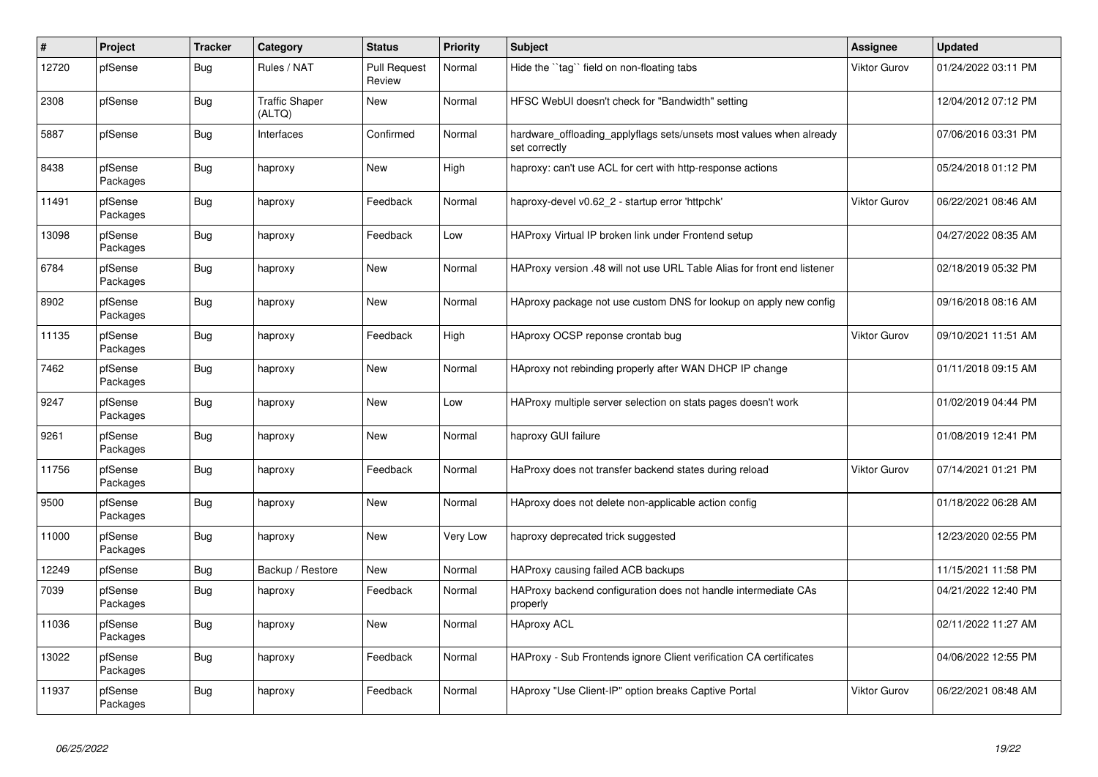| $\#$  | Project             | <b>Tracker</b> | Category                        | <b>Status</b>                 | <b>Priority</b> | <b>Subject</b>                                                                       | <b>Assignee</b> | <b>Updated</b>      |
|-------|---------------------|----------------|---------------------------------|-------------------------------|-----------------|--------------------------------------------------------------------------------------|-----------------|---------------------|
| 12720 | pfSense             | Bug            | Rules / NAT                     | <b>Pull Request</b><br>Review | Normal          | Hide the "tag" field on non-floating tabs                                            | Viktor Gurov    | 01/24/2022 03:11 PM |
| 2308  | pfSense             | Bug            | <b>Traffic Shaper</b><br>(ALTQ) | New                           | Normal          | HFSC WebUI doesn't check for "Bandwidth" setting                                     |                 | 12/04/2012 07:12 PM |
| 5887  | pfSense             | <b>Bug</b>     | Interfaces                      | Confirmed                     | Normal          | hardware_offloading_applyflags sets/unsets most values when already<br>set correctly |                 | 07/06/2016 03:31 PM |
| 8438  | pfSense<br>Packages | Bug            | haproxy                         | <b>New</b>                    | High            | haproxy: can't use ACL for cert with http-response actions                           |                 | 05/24/2018 01:12 PM |
| 11491 | pfSense<br>Packages | Bug            | haproxy                         | Feedback                      | Normal          | haproxy-devel v0.62_2 - startup error 'httpchk'                                      | Viktor Gurov    | 06/22/2021 08:46 AM |
| 13098 | pfSense<br>Packages | <b>Bug</b>     | haproxy                         | Feedback                      | Low             | HAProxy Virtual IP broken link under Frontend setup                                  |                 | 04/27/2022 08:35 AM |
| 6784  | pfSense<br>Packages | <b>Bug</b>     | haproxy                         | New                           | Normal          | HAProxy version .48 will not use URL Table Alias for front end listener              |                 | 02/18/2019 05:32 PM |
| 8902  | pfSense<br>Packages | Bug            | haproxy                         | New                           | Normal          | HAproxy package not use custom DNS for lookup on apply new config                    |                 | 09/16/2018 08:16 AM |
| 11135 | pfSense<br>Packages | <b>Bug</b>     | haproxy                         | Feedback                      | High            | HAproxy OCSP reponse crontab bug                                                     | Viktor Gurov    | 09/10/2021 11:51 AM |
| 7462  | pfSense<br>Packages | Bug            | haproxy                         | <b>New</b>                    | Normal          | HAproxy not rebinding properly after WAN DHCP IP change                              |                 | 01/11/2018 09:15 AM |
| 9247  | pfSense<br>Packages | Bug            | haproxy                         | <b>New</b>                    | Low             | HAProxy multiple server selection on stats pages doesn't work                        |                 | 01/02/2019 04:44 PM |
| 9261  | pfSense<br>Packages | <b>Bug</b>     | haproxy                         | New                           | Normal          | haproxy GUI failure                                                                  |                 | 01/08/2019 12:41 PM |
| 11756 | pfSense<br>Packages | Bug            | haproxy                         | Feedback                      | Normal          | HaProxy does not transfer backend states during reload                               | Viktor Gurov    | 07/14/2021 01:21 PM |
| 9500  | pfSense<br>Packages | Bug            | haproxy                         | <b>New</b>                    | Normal          | HAproxy does not delete non-applicable action config                                 |                 | 01/18/2022 06:28 AM |
| 11000 | pfSense<br>Packages | Bug            | haproxy                         | <b>New</b>                    | Very Low        | haproxy deprecated trick suggested                                                   |                 | 12/23/2020 02:55 PM |
| 12249 | pfSense             | Bug            | Backup / Restore                | New                           | Normal          | HAProxy causing failed ACB backups                                                   |                 | 11/15/2021 11:58 PM |
| 7039  | pfSense<br>Packages | <b>Bug</b>     | haproxy                         | Feedback                      | Normal          | HAProxy backend configuration does not handle intermediate CAs<br>properly           |                 | 04/21/2022 12:40 PM |
| 11036 | pfSense<br>Packages | Bug            | haproxy                         | New                           | Normal          | <b>HAproxy ACL</b>                                                                   |                 | 02/11/2022 11:27 AM |
| 13022 | pfSense<br>Packages | Bug            | haproxy                         | Feedback                      | Normal          | HAProxy - Sub Frontends ignore Client verification CA certificates                   |                 | 04/06/2022 12:55 PM |
| 11937 | pfSense<br>Packages | <b>Bug</b>     | haproxy                         | Feedback                      | Normal          | HAproxy "Use Client-IP" option breaks Captive Portal                                 | Viktor Gurov    | 06/22/2021 08:48 AM |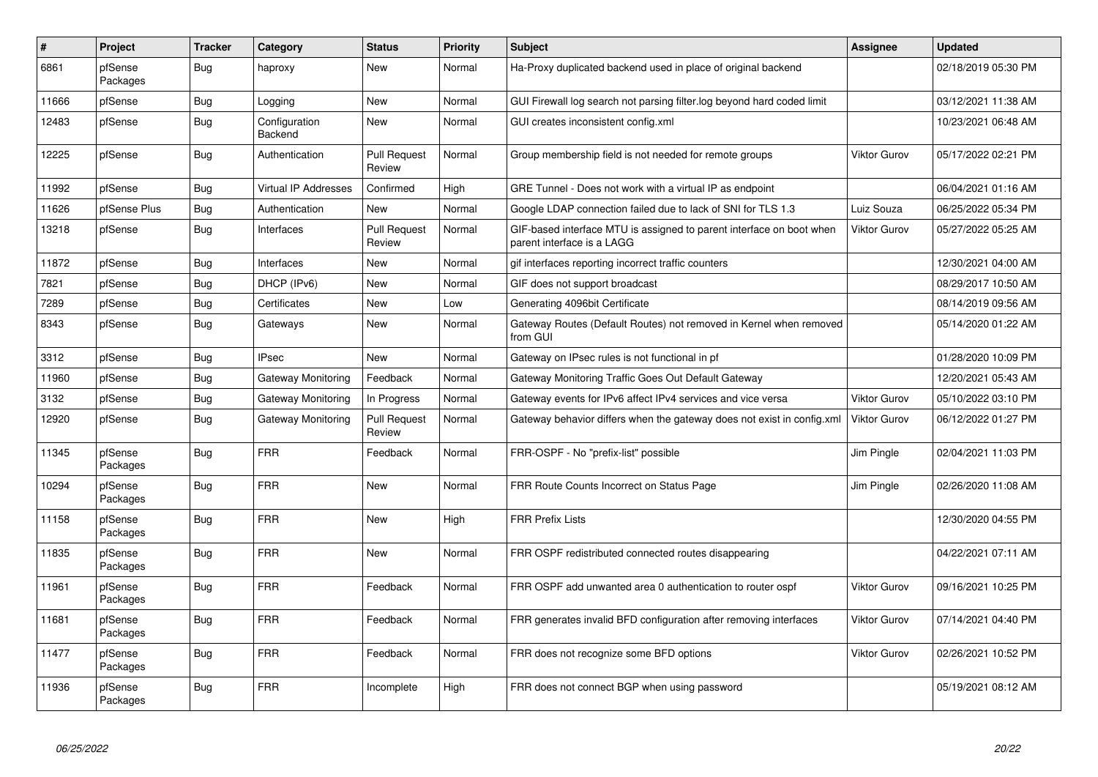| $\sharp$ | <b>Project</b>      | <b>Tracker</b> | Category                    | <b>Status</b>                 | <b>Priority</b> | <b>Subject</b>                                                                                     | Assignee            | <b>Updated</b>      |
|----------|---------------------|----------------|-----------------------------|-------------------------------|-----------------|----------------------------------------------------------------------------------------------------|---------------------|---------------------|
| 6861     | pfSense<br>Packages | Bug            | haproxy                     | <b>New</b>                    | Normal          | Ha-Proxy duplicated backend used in place of original backend                                      |                     | 02/18/2019 05:30 PM |
| 11666    | pfSense             | <b>Bug</b>     | Logging                     | <b>New</b>                    | Normal          | GUI Firewall log search not parsing filter.log beyond hard coded limit                             |                     | 03/12/2021 11:38 AM |
| 12483    | pfSense             | Bug            | Configuration<br>Backend    | New                           | Normal          | GUI creates inconsistent config.xml                                                                |                     | 10/23/2021 06:48 AM |
| 12225    | pfSense             | Bug            | Authentication              | <b>Pull Request</b><br>Review | Normal          | Group membership field is not needed for remote groups                                             | <b>Viktor Gurov</b> | 05/17/2022 02:21 PM |
| 11992    | pfSense             | Bug            | <b>Virtual IP Addresses</b> | Confirmed                     | High            | GRE Tunnel - Does not work with a virtual IP as endpoint                                           |                     | 06/04/2021 01:16 AM |
| 11626    | pfSense Plus        | <b>Bug</b>     | Authentication              | New                           | Normal          | Google LDAP connection failed due to lack of SNI for TLS 1.3                                       | Luiz Souza          | 06/25/2022 05:34 PM |
| 13218    | pfSense             | Bug            | Interfaces                  | <b>Pull Request</b><br>Review | Normal          | GIF-based interface MTU is assigned to parent interface on boot when<br>parent interface is a LAGG | <b>Viktor Gurov</b> | 05/27/2022 05:25 AM |
| 11872    | pfSense             | Bug            | Interfaces                  | <b>New</b>                    | Normal          | gif interfaces reporting incorrect traffic counters                                                |                     | 12/30/2021 04:00 AM |
| 7821     | pfSense             | Bug            | DHCP (IPv6)                 | New                           | Normal          | GIF does not support broadcast                                                                     |                     | 08/29/2017 10:50 AM |
| 7289     | pfSense             | <b>Bug</b>     | Certificates                | <b>New</b>                    | Low             | Generating 4096bit Certificate                                                                     |                     | 08/14/2019 09:56 AM |
| 8343     | pfSense             | <b>Bug</b>     | Gateways                    | New                           | Normal          | Gateway Routes (Default Routes) not removed in Kernel when removed<br>from GUI                     |                     | 05/14/2020 01:22 AM |
| 3312     | pfSense             | Bug            | <b>IPsec</b>                | <b>New</b>                    | Normal          | Gateway on IPsec rules is not functional in pf                                                     |                     | 01/28/2020 10:09 PM |
| 11960    | pfSense             | <b>Bug</b>     | Gateway Monitoring          | Feedback                      | Normal          | Gateway Monitoring Traffic Goes Out Default Gateway                                                |                     | 12/20/2021 05:43 AM |
| 3132     | pfSense             | <b>Bug</b>     | Gateway Monitoring          | In Progress                   | Normal          | Gateway events for IPv6 affect IPv4 services and vice versa                                        | Viktor Gurov        | 05/10/2022 03:10 PM |
| 12920    | pfSense             | <b>Bug</b>     | Gateway Monitoring          | <b>Pull Request</b><br>Review | Normal          | Gateway behavior differs when the gateway does not exist in config.xml                             | <b>Viktor Gurov</b> | 06/12/2022 01:27 PM |
| 11345    | pfSense<br>Packages | Bug            | <b>FRR</b>                  | Feedback                      | Normal          | FRR-OSPF - No "prefix-list" possible                                                               | Jim Pingle          | 02/04/2021 11:03 PM |
| 10294    | pfSense<br>Packages | <b>Bug</b>     | <b>FRR</b>                  | <b>New</b>                    | Normal          | FRR Route Counts Incorrect on Status Page                                                          | Jim Pingle          | 02/26/2020 11:08 AM |
| 11158    | pfSense<br>Packages | Bug            | <b>FRR</b>                  | <b>New</b>                    | High            | <b>FRR Prefix Lists</b>                                                                            |                     | 12/30/2020 04:55 PM |
| 11835    | pfSense<br>Packages | Bug            | <b>FRR</b>                  | New                           | Normal          | FRR OSPF redistributed connected routes disappearing                                               |                     | 04/22/2021 07:11 AM |
| 11961    | pfSense<br>Packages | Bug            | <b>FRR</b>                  | Feedback                      | Normal          | FRR OSPF add unwanted area 0 authentication to router ospf                                         | <b>Viktor Gurov</b> | 09/16/2021 10:25 PM |
| 11681    | pfSense<br>Packages | Bug            | <b>FRR</b>                  | Feedback                      | Normal          | FRR generates invalid BFD configuration after removing interfaces                                  | Viktor Gurov        | 07/14/2021 04:40 PM |
| 11477    | pfSense<br>Packages | Bug            | <b>FRR</b>                  | Feedback                      | Normal          | FRR does not recognize some BFD options                                                            | Viktor Gurov        | 02/26/2021 10:52 PM |
| 11936    | pfSense<br>Packages | <b>Bug</b>     | <b>FRR</b>                  | Incomplete                    | High            | FRR does not connect BGP when using password                                                       |                     | 05/19/2021 08:12 AM |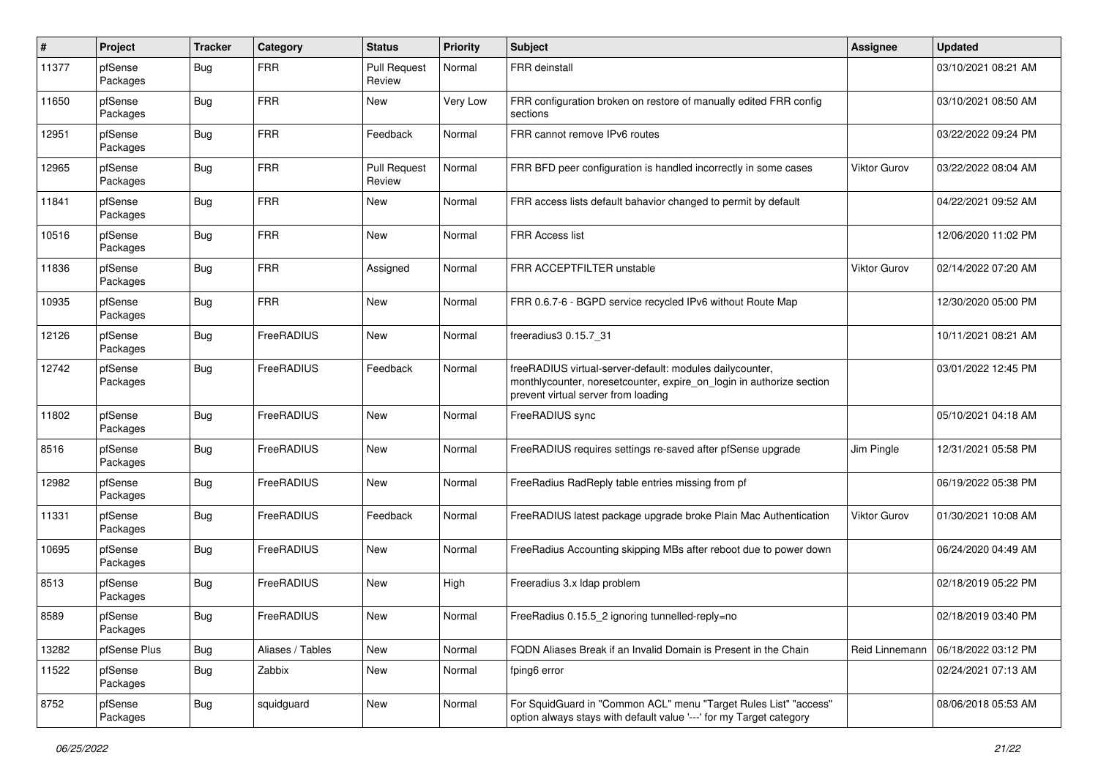| $\pmb{\#}$ | Project             | <b>Tracker</b> | Category         | <b>Status</b>                 | <b>Priority</b> | Subject                                                                                                                                                                 | <b>Assignee</b> | <b>Updated</b>      |
|------------|---------------------|----------------|------------------|-------------------------------|-----------------|-------------------------------------------------------------------------------------------------------------------------------------------------------------------------|-----------------|---------------------|
| 11377      | pfSense<br>Packages | Bug            | <b>FRR</b>       | <b>Pull Request</b><br>Review | Normal          | <b>FRR</b> deinstall                                                                                                                                                    |                 | 03/10/2021 08:21 AM |
| 11650      | pfSense<br>Packages | Bug            | <b>FRR</b>       | New                           | Very Low        | FRR configuration broken on restore of manually edited FRR config<br>sections                                                                                           |                 | 03/10/2021 08:50 AM |
| 12951      | pfSense<br>Packages | <b>Bug</b>     | <b>FRR</b>       | Feedback                      | Normal          | FRR cannot remove IPv6 routes                                                                                                                                           |                 | 03/22/2022 09:24 PM |
| 12965      | pfSense<br>Packages | <b>Bug</b>     | <b>FRR</b>       | <b>Pull Request</b><br>Review | Normal          | FRR BFD peer configuration is handled incorrectly in some cases                                                                                                         | Viktor Gurov    | 03/22/2022 08:04 AM |
| 11841      | pfSense<br>Packages | <b>Bug</b>     | <b>FRR</b>       | New                           | Normal          | FRR access lists default bahavior changed to permit by default                                                                                                          |                 | 04/22/2021 09:52 AM |
| 10516      | pfSense<br>Packages | <b>Bug</b>     | <b>FRR</b>       | New                           | Normal          | <b>FRR Access list</b>                                                                                                                                                  |                 | 12/06/2020 11:02 PM |
| 11836      | pfSense<br>Packages | <b>Bug</b>     | <b>FRR</b>       | Assigned                      | Normal          | FRR ACCEPTFILTER unstable                                                                                                                                               | Viktor Gurov    | 02/14/2022 07:20 AM |
| 10935      | pfSense<br>Packages | <b>Bug</b>     | <b>FRR</b>       | New                           | Normal          | FRR 0.6.7-6 - BGPD service recycled IPv6 without Route Map                                                                                                              |                 | 12/30/2020 05:00 PM |
| 12126      | pfSense<br>Packages | Bug            | FreeRADIUS       | New                           | Normal          | freeradius3 0.15.7 31                                                                                                                                                   |                 | 10/11/2021 08:21 AM |
| 12742      | pfSense<br>Packages | <b>Bug</b>     | FreeRADIUS       | Feedback                      | Normal          | freeRADIUS virtual-server-default: modules dailycounter,<br>monthlycounter, noresetcounter, expire_on_login in authorize section<br>prevent virtual server from loading |                 | 03/01/2022 12:45 PM |
| 11802      | pfSense<br>Packages | <b>Bug</b>     | FreeRADIUS       | <b>New</b>                    | Normal          | FreeRADIUS sync                                                                                                                                                         |                 | 05/10/2021 04:18 AM |
| 8516       | pfSense<br>Packages | Bug            | FreeRADIUS       | New                           | Normal          | FreeRADIUS requires settings re-saved after pfSense upgrade                                                                                                             | Jim Pingle      | 12/31/2021 05:58 PM |
| 12982      | pfSense<br>Packages | <b>Bug</b>     | FreeRADIUS       | New                           | Normal          | FreeRadius RadReply table entries missing from pf                                                                                                                       |                 | 06/19/2022 05:38 PM |
| 11331      | pfSense<br>Packages | <b>Bug</b>     | FreeRADIUS       | Feedback                      | Normal          | FreeRADIUS latest package upgrade broke Plain Mac Authentication                                                                                                        | Viktor Gurov    | 01/30/2021 10:08 AM |
| 10695      | pfSense<br>Packages | <b>Bug</b>     | FreeRADIUS       | New                           | Normal          | FreeRadius Accounting skipping MBs after reboot due to power down                                                                                                       |                 | 06/24/2020 04:49 AM |
| 8513       | pfSense<br>Packages | <b>Bug</b>     | FreeRADIUS       | New                           | High            | Freeradius 3.x Idap problem                                                                                                                                             |                 | 02/18/2019 05:22 PM |
| 8589       | pfSense<br>Packages | Bug            | FreeRADIUS       | New                           | Normal          | FreeRadius 0.15.5_2 ignoring tunnelled-reply=no                                                                                                                         |                 | 02/18/2019 03:40 PM |
| 13282      | pfSense Plus        | <b>Bug</b>     | Aliases / Tables | New                           | Normal          | FQDN Aliases Break if an Invalid Domain is Present in the Chain                                                                                                         | Reid Linnemann  | 06/18/2022 03:12 PM |
| 11522      | pfSense<br>Packages | Bug            | Zabbix           | New                           | Normal          | fping6 error                                                                                                                                                            |                 | 02/24/2021 07:13 AM |
| 8752       | pfSense<br>Packages | <b>Bug</b>     | squidguard       | New                           | Normal          | For SquidGuard in "Common ACL" menu "Target Rules List" "access"<br>option always stays with default value '---' for my Target category                                 |                 | 08/06/2018 05:53 AM |